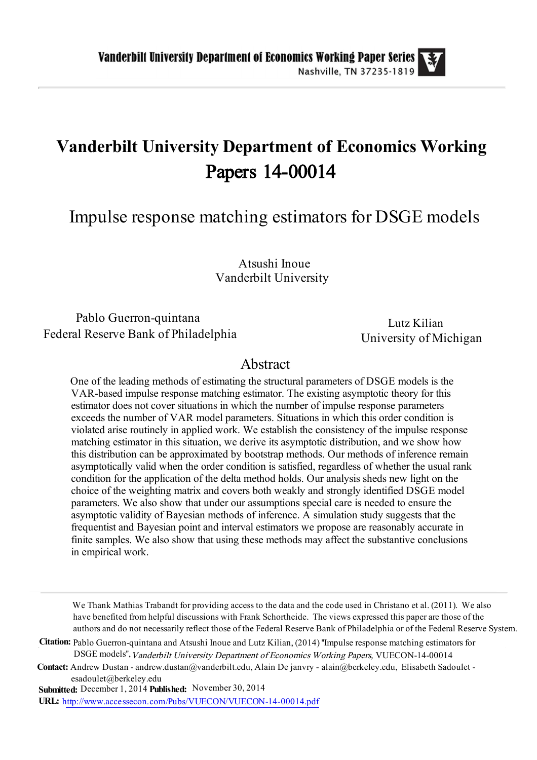# Vanderbilt University Department of Economics Working Papers 14-00014

Impulse response matching estimators for DSGE models

Atsushi Inoue Vanderbilt University

### Pablo Guerron-quintana Federal Reserve Bank of Philadelphia

Lutz Kilian University of Michigan

### Abstract

One of the leading methods of estimating the structural parameters of DSGE models is the VAR-based impulse response matching estimator. The existing asymptotic theory for this estimator does not cover situations in which the number of impulse response parameters exceeds the number of VAR model parameters. Situations in which this order condition is violated arise routinely in applied work. We establish the consistency of the impulse response matching estimator in this situation, we derive its asymptotic distribution, and we show how this distribution can be approximated by bootstrap methods. Our methods of inference remain asymptotically valid when the order condition is satisfied, regardless of whether the usual rank condition for the application of the delta method holds. Our analysis sheds new light on the choice of the weighting matrix and covers both weakly and strongly identified DSGE model parameters. We also show that under our assumptions special care is needed to ensure the asymptotic validity of Bayesian methods of inference. A simulation study suggests that the frequentist and Bayesian point and interval estimators we propose are reasonably accurate in finite samples. We also show that using these methods may affect the substantive conclusions in empirical work.

We Thank Mathias Trabandt for providing access to the data and the code used in Christano et al. (2011). We also have benefited from helpful discussions with Frank Schortheide. The views expressed this paper are those of the authors and do not necessarily reflect those of the Federal Reserve Bank of Philadelphia or of the Federal Reserve System.

Citation: Pablo Guerron-quintana and Atsushi Inoue and Lutz Kilian, (2014) "Impulse response matching estimators for DSGE models'',Vanderbilt University Department of Economics Working Papers, VUECON-14-00014

Contact: Andrew Dustan - andrew.dustan@vanderbilt.edu, Alain De janvry - alain@berkeley.edu, Elisabeth Sadoulet esadoulet@berkeley.edu

Submitted: December 1, 2014 Published: November 30, 2014

URL: [http://www.accessecon.com/Pubs/VUECON/VUECON-14-00014.pdf](http://www.accessecon.com/Pubs/VUECON/VUECON-15-00003.pdf)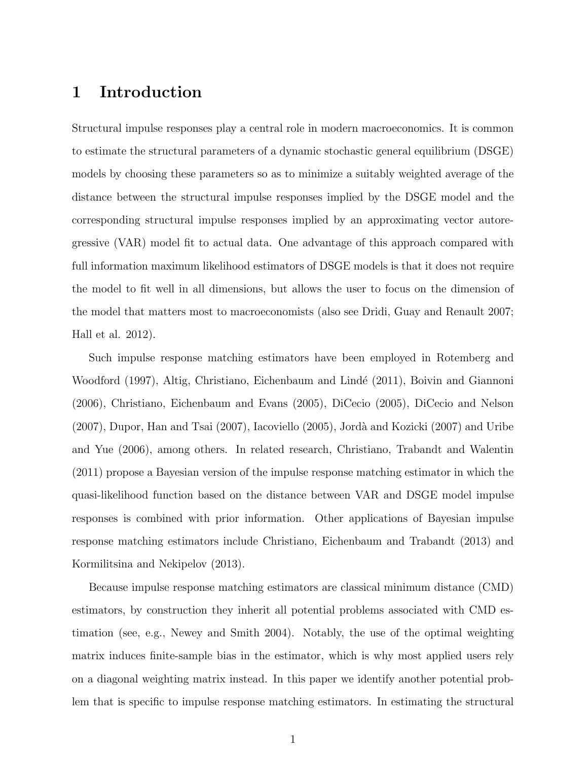## 1 Introduction

Structural impulse responses play a central role in modern macroeconomics. It is common to estimate the structural parameters of a dynamic stochastic general equilibrium (DSGE) models by choosing these parameters so as to minimize a suitably weighted average of the distance between the structural impulse responses implied by the DSGE model and the corresponding structural impulse responses implied by an approximating vector autoregressive (VAR) model fit to actual data. One advantage of this approach compared with full information maximum likelihood estimators of DSGE models is that it does not require the model to fit well in all dimensions, but allows the user to focus on the dimension of the model that matters most to macroeconomists (also see Dridi, Guay and Renault 2007; Hall et al. 2012).

Such impulse response matching estimators have been employed in Rotemberg and Woodford (1997), Altig, Christiano, Eichenbaum and Lindé (2011), Boivin and Giannoni (2006), Christiano, Eichenbaum and Evans (2005), DiCecio (2005), DiCecio and Nelson (2007), Dupor, Han and Tsai (2007), Iacoviello (2005), Jorda` and Kozicki (2007) and Uribe and Yue (2006), among others. In related research, Christiano, Trabandt and Walentin (2011) propose a Bayesian version of the impulse response matching estimator in which the quasi-likelihood function based on the distance between VAR and DSGE model impulse responses is combined with prior information. Other applications of Bayesian impulse response matching estimators include Christiano, Eichenbaum and Trabandt (2013) and Kormilitsina and Nekipelov (2013).

Because impulse response matching estimators are classical minimum distance (CMD) estimators, by construction they inherit all potential problems associated with CMD estimation (see, e.g., Newey and Smith 2004). Notably, the use of the optimal weighting matrix induces finite-sample bias in the estimator, which is why most applied users rely on a diagonal weighting matrix instead. In this paper we identify another potential problem that is specific to impulse response matching estimators. In estimating the structural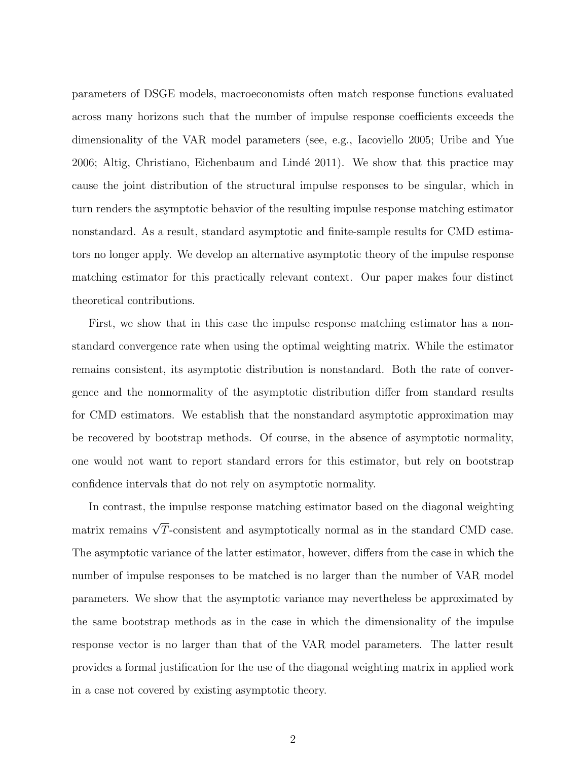parameters of DSGE models, macroeconomists often match response functions evaluated across many horizons such that the number of impulse response coefficients exceeds the dimensionality of the VAR model parameters (see, e.g., Iacoviello 2005; Uribe and Yue 2006; Altig, Christiano, Eichenbaum and Lindé 2011). We show that this practice may cause the joint distribution of the structural impulse responses to be singular, which in turn renders the asymptotic behavior of the resulting impulse response matching estimator nonstandard. As a result, standard asymptotic and finite-sample results for CMD estimators no longer apply. We develop an alternative asymptotic theory of the impulse response matching estimator for this practically relevant context. Our paper makes four distinct theoretical contributions.

First, we show that in this case the impulse response matching estimator has a nonstandard convergence rate when using the optimal weighting matrix. While the estimator remains consistent, its asymptotic distribution is nonstandard. Both the rate of convergence and the nonnormality of the asymptotic distribution differ from standard results for CMD estimators. We establish that the nonstandard asymptotic approximation may be recovered by bootstrap methods. Of course, in the absence of asymptotic normality, one would not want to report standard errors for this estimator, but rely on bootstrap confidence intervals that do not rely on asymptotic normality.

In contrast, the impulse response matching estimator based on the diagonal weighting matrix remains  $\sqrt{T}$ -consistent and asymptotically normal as in the standard CMD case. The asymptotic variance of the latter estimator, however, differs from the case in which the number of impulse responses to be matched is no larger than the number of VAR model parameters. We show that the asymptotic variance may nevertheless be approximated by the same bootstrap methods as in the case in which the dimensionality of the impulse response vector is no larger than that of the VAR model parameters. The latter result provides a formal justification for the use of the diagonal weighting matrix in applied work in a case not covered by existing asymptotic theory.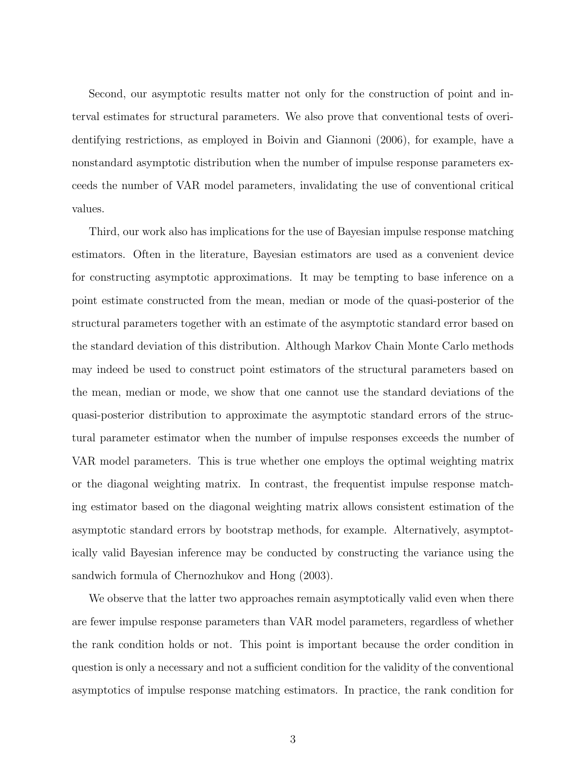Second, our asymptotic results matter not only for the construction of point and interval estimates for structural parameters. We also prove that conventional tests of overidentifying restrictions, as employed in Boivin and Giannoni (2006), for example, have a nonstandard asymptotic distribution when the number of impulse response parameters exceeds the number of VAR model parameters, invalidating the use of conventional critical values.

Third, our work also has implications for the use of Bayesian impulse response matching estimators. Often in the literature, Bayesian estimators are used as a convenient device for constructing asymptotic approximations. It may be tempting to base inference on a point estimate constructed from the mean, median or mode of the quasi-posterior of the structural parameters together with an estimate of the asymptotic standard error based on the standard deviation of this distribution. Although Markov Chain Monte Carlo methods may indeed be used to construct point estimators of the structural parameters based on the mean, median or mode, we show that one cannot use the standard deviations of the quasi-posterior distribution to approximate the asymptotic standard errors of the structural parameter estimator when the number of impulse responses exceeds the number of VAR model parameters. This is true whether one employs the optimal weighting matrix or the diagonal weighting matrix. In contrast, the frequentist impulse response matching estimator based on the diagonal weighting matrix allows consistent estimation of the asymptotic standard errors by bootstrap methods, for example. Alternatively, asymptotically valid Bayesian inference may be conducted by constructing the variance using the sandwich formula of Chernozhukov and Hong (2003).

We observe that the latter two approaches remain asymptotically valid even when there are fewer impulse response parameters than VAR model parameters, regardless of whether the rank condition holds or not. This point is important because the order condition in question is only a necessary and not a sufficient condition for the validity of the conventional asymptotics of impulse response matching estimators. In practice, the rank condition for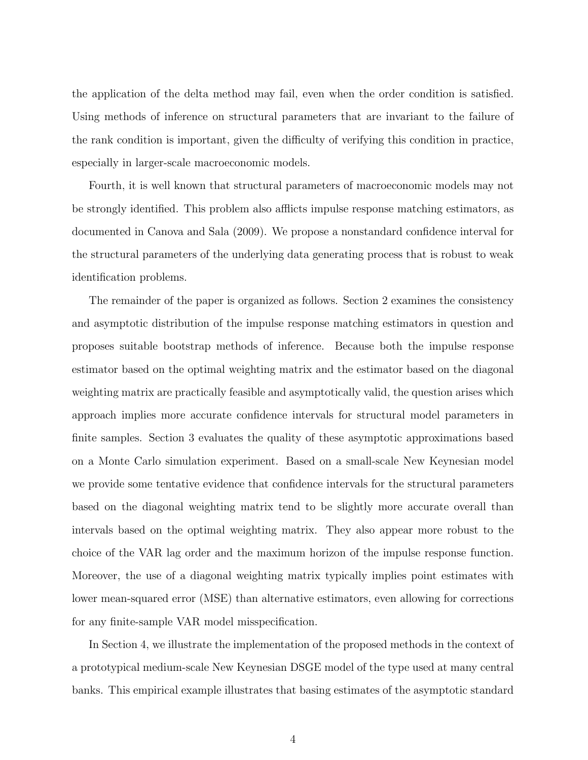the application of the delta method may fail, even when the order condition is satisfied. Using methods of inference on structural parameters that are invariant to the failure of the rank condition is important, given the difficulty of verifying this condition in practice, especially in larger-scale macroeconomic models.

Fourth, it is well known that structural parameters of macroeconomic models may not be strongly identified. This problem also afflicts impulse response matching estimators, as documented in Canova and Sala (2009). We propose a nonstandard confidence interval for the structural parameters of the underlying data generating process that is robust to weak identification problems.

The remainder of the paper is organized as follows. Section 2 examines the consistency and asymptotic distribution of the impulse response matching estimators in question and proposes suitable bootstrap methods of inference. Because both the impulse response estimator based on the optimal weighting matrix and the estimator based on the diagonal weighting matrix are practically feasible and asymptotically valid, the question arises which approach implies more accurate confidence intervals for structural model parameters in finite samples. Section 3 evaluates the quality of these asymptotic approximations based on a Monte Carlo simulation experiment. Based on a small-scale New Keynesian model we provide some tentative evidence that confidence intervals for the structural parameters based on the diagonal weighting matrix tend to be slightly more accurate overall than intervals based on the optimal weighting matrix. They also appear more robust to the choice of the VAR lag order and the maximum horizon of the impulse response function. Moreover, the use of a diagonal weighting matrix typically implies point estimates with lower mean-squared error (MSE) than alternative estimators, even allowing for corrections for any finite-sample VAR model misspecification.

In Section 4, we illustrate the implementation of the proposed methods in the context of a prototypical medium-scale New Keynesian DSGE model of the type used at many central banks. This empirical example illustrates that basing estimates of the asymptotic standard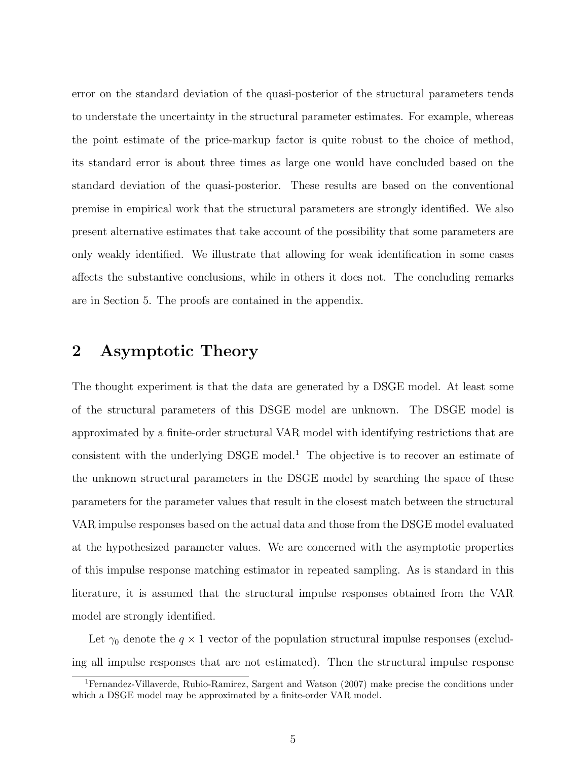error on the standard deviation of the quasi-posterior of the structural parameters tends to understate the uncertainty in the structural parameter estimates. For example, whereas the point estimate of the price-markup factor is quite robust to the choice of method, its standard error is about three times as large one would have concluded based on the standard deviation of the quasi-posterior. These results are based on the conventional premise in empirical work that the structural parameters are strongly identified. We also present alternative estimates that take account of the possibility that some parameters are only weakly identified. We illustrate that allowing for weak identification in some cases affects the substantive conclusions, while in others it does not. The concluding remarks are in Section 5. The proofs are contained in the appendix.

### 2 Asymptotic Theory

The thought experiment is that the data are generated by a DSGE model. At least some of the structural parameters of this DSGE model are unknown. The DSGE model is approximated by a finite-order structural VAR model with identifying restrictions that are consistent with the underlying DSGE model. <sup>1</sup> The objective is to recover an estimate of the unknown structural parameters in the DSGE model by searching the space of these parameters for the parameter values that result in the closest match between the structural VAR impulse responses based on the actual data and those from the DSGE model evaluated at the hypothesized parameter values. We are concerned with the asymptotic properties of this impulse response matching estimator in repeated sampling. As is standard in this literature, it is assumed that the structural impulse responses obtained from the VAR model are strongly identified.

Let  $\gamma_0$  denote the  $q \times 1$  vector of the population structural impulse responses (excluding all impulse responses that are not estimated). Then the structural impulse response

<sup>&</sup>lt;sup>1</sup>Fernandez-Villaverde, Rubio-Ramirez, Sargent and Watson (2007) make precise the conditions under which a DSGE model may be approximated by a finite-order VAR model.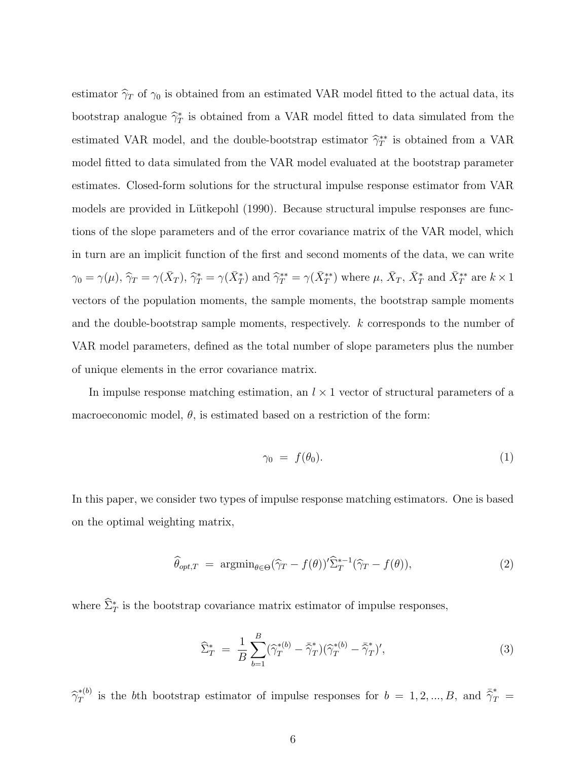estimator  $\hat{\gamma}_T$  of  $\gamma_0$  is obtained from an estimated VAR model fitted to the actual data, its bootstrap analogue  $\hat{\gamma}^*_{T}$  is obtained from a VAR model fitted to data simulated from the estimated VAR model, and the double-bootstrap estimator  $\hat{\gamma}^{**}_{T}$  is obtained from a VAR model fitted to data simulated from the VAR model evaluated at the bootstrap parameter estimates. Closed-form solutions for the structural impulse response estimator from VAR models are provided in Lütkepohl (1990). Because structural impulse responses are functions of the slope parameters and of the error covariance matrix of the VAR model, which in turn are an implicit function of the first and second moments of the data, we can write  $\gamma_0 = \gamma(\mu), \hat{\gamma}_T = \gamma(\bar{X}_T), \hat{\gamma}_T^* = \gamma(\bar{X}_T^*)$  and  $\hat{\gamma}_T^{**} = \gamma(\bar{X}_T^{**})$  where  $\mu, \bar{X}_T, \bar{X}_T^*$  and  $\bar{X}_T^{**}$  are  $k \times 1$ vectors of the population moments, the sample moments, the bootstrap sample moments and the double-bootstrap sample moments, respectively. k corresponds to the number of VAR model parameters, defined as the total number of slope parameters plus the number of unique elements in the error covariance matrix.

In impulse response matching estimation, an  $l \times 1$  vector of structural parameters of a macroeconomic model,  $\theta$ , is estimated based on a restriction of the form:

$$
\gamma_0 = f(\theta_0). \tag{1}
$$

In this paper, we consider two types of impulse response matching estimators. One is based on the optimal weighting matrix,

$$
\widehat{\theta}_{opt,T} = \operatorname{argmin}_{\theta \in \Theta} (\widehat{\gamma}_T - f(\theta))' \widehat{\Sigma}_T^{*-1} (\widehat{\gamma}_T - f(\theta)), \tag{2}
$$

where  $\Sigma^*$  is the bootstrap covariance matrix estimator of impulse responses,

$$
\widehat{\Sigma}_T^* \ = \ \frac{1}{B} \sum_{b=1}^B (\widehat{\gamma}_T^{*(b)} - \bar{\widehat{\gamma}}_T^*) (\widehat{\gamma}_T^{*(b)} - \bar{\widehat{\gamma}}_T^*)', \tag{3}
$$

 $\hat{\gamma}_T^{*(b)}$  is the bth bootstrap estimator of impulse responses for  $b = 1, 2, ..., B$ , and  $\bar{\hat{\gamma}}_T^* =$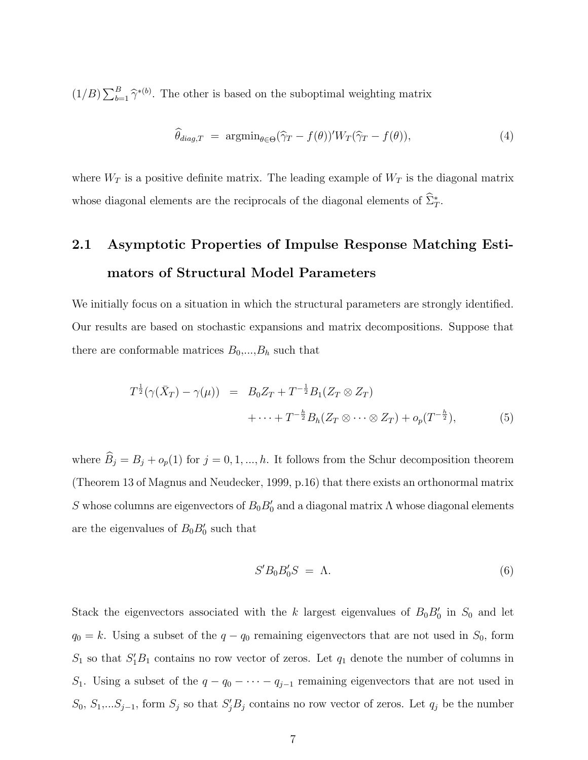$(1/B)\sum_{b=1}^{B} \hat{\gamma}^{*(b)}$ . The other is based on the suboptimal weighting matrix

$$
\widehat{\theta}_{diag,T} = \operatorname{argmin}_{\theta \in \Theta} (\widehat{\gamma}_T - f(\theta))^{\prime} W_T(\widehat{\gamma}_T - f(\theta)), \tag{4}
$$

where  $W_T$  is a positive definite matrix. The leading example of  $W_T$  is the diagonal matrix whose diagonal elements are the reciprocals of the diagonal elements of  $\Sigma_T^*$ .

# 2.1 Asymptotic Properties of Impulse Response Matching Estimators of Structural Model Parameters

We initially focus on a situation in which the structural parameters are strongly identified. Our results are based on stochastic expansions and matrix decompositions. Suppose that there are conformable matrices  $B_0$ ,..., $B_h$  such that

$$
T^{\frac{1}{2}}(\gamma(\bar{X}_T) - \gamma(\mu)) = B_0 Z_T + T^{-\frac{1}{2}} B_1(Z_T \otimes Z_T) + \cdots + T^{-\frac{h}{2}} B_h(Z_T \otimes \cdots \otimes Z_T) + o_p(T^{-\frac{h}{2}}),
$$
(5)

where  $\widehat{B}_j = B_j + o_p(1)$  for  $j = 0, 1, ..., h$ . It follows from the Schur decomposition theorem (Theorem 13 of Magnus and Neudecker, 1999, p.16) that there exists an orthonormal matrix S whose columns are eigenvectors of  $B_0 B'_0$  and a diagonal matrix  $\Lambda$  whose diagonal elements are the eigenvalues of  $B_0B'_0$  such that

$$
S'B_0B'_0S = \Lambda. \t\t(6)
$$

Stack the eigenvectors associated with the k largest eigenvalues of  $B_0B'_0$  in  $S_0$  and let  $q_0 = k$ . Using a subset of the  $q - q_0$  remaining eigenvectors that are not used in  $S_0$ , form  $S_1$  so that  $S_1'B_1$  contains no row vector of zeros. Let  $q_1$  denote the number of columns in S<sub>1</sub>. Using a subset of the  $q - q_0 - \cdots - q_{j-1}$  remaining eigenvectors that are not used in  $S_0, S_1,...S_{j-1}$ , form  $S_j$  so that  $S'_jB_j$  contains no row vector of zeros. Let  $q_j$  be the number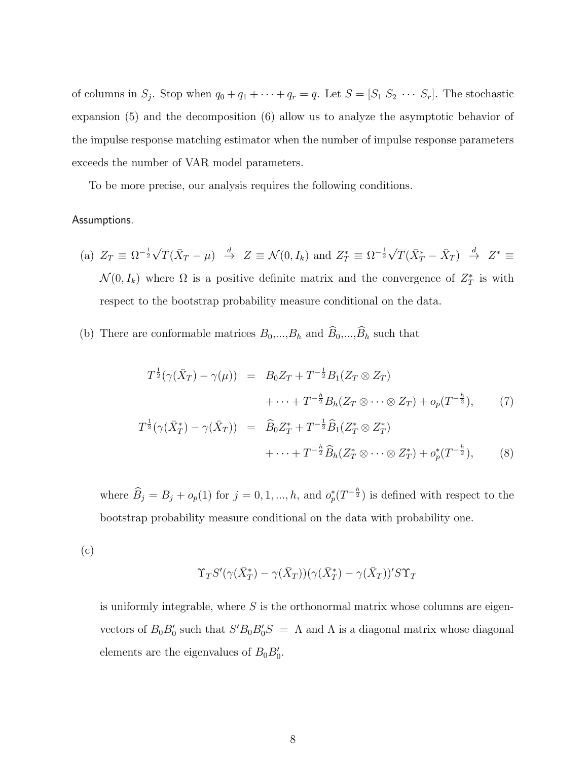of columns in  $S_j$ . Stop when  $q_0 + q_1 + \cdots + q_r = q$ . Let  $S = [S_1 \ S_2 \ \cdots \ S_r]$ . The stochastic expansion (5) and the decomposition (6) allow us to analyze the asymptotic behavior of the impulse response matching estimator when the number of impulse response parameters exceeds the number of VAR model parameters.

To be more precise, our analysis requires the following conditions.

#### Assumptions.

- (a)  $Z_T \equiv \Omega^{-\frac{1}{2}}\sqrt{T}(\bar{X}_T \mu) \stackrel{d}{\to} Z \equiv \mathcal{N}(0, I_k)$  and  $Z_T^* \equiv \Omega^{-\frac{1}{2}}\sqrt{T}(\bar{X}_T^* \bar{X}_T) \stackrel{d}{\to} Z^* \equiv$  $\mathcal{N}(0, I_k)$  where  $\Omega$  is a positive definite matrix and the convergence of  $Z_T^*$  is with respect to the bootstrap probability measure conditional on the data.
- (b) There are conformable matrices  $B_0, ..., B_h$  and  $\widehat{B}_0, ..., \widehat{B}_h$  such that

$$
T^{\frac{1}{2}}(\gamma(\bar{X}_T) - \gamma(\mu)) = B_0 Z_T + T^{-\frac{1}{2}} B_1 (Z_T \otimes Z_T) + \cdots + T^{-\frac{h}{2}} B_h (Z_T \otimes \cdots \otimes Z_T) + o_p(T^{-\frac{h}{2}}),
$$
 (7)

$$
T^{\frac{1}{2}}(\gamma(\bar{X}_T^*) - \gamma(\bar{X}_T)) = \hat{B}_0 Z_T^* + T^{-\frac{1}{2}} \hat{B}_1(Z_T^* \otimes Z_T^*)
$$
  
 
$$
+ \cdots + T^{-\frac{h}{2}} \hat{B}_h(Z_T^* \otimes \cdots \otimes Z_T^*) + o_p^*(T^{-\frac{h}{2}}), \qquad (8)
$$

where  $\widehat{B}_j = B_j + o_p(1)$  for  $j = 0, 1, ..., h$ , and  $o_p^*(T^{-\frac{h}{2}})$  is defined with respect to the bootstrap probability measure conditional on the data with probability one.

(c)

$$
\Upsilon_T S'(\gamma(\bar{X}_T^*) - \gamma(\bar{X}_T))(\gamma(\bar{X}_T^*) - \gamma(\bar{X}_T))' S \Upsilon_T
$$

is uniformly integrable, where  $S$  is the orthonormal matrix whose columns are eigenvectors of  $B_0 B_0'$  such that  $S' B_0 B_0' S = \Lambda$  and  $\Lambda$  is a diagonal matrix whose diagonal elements are the eigenvalues of  $B_0B'_0$ .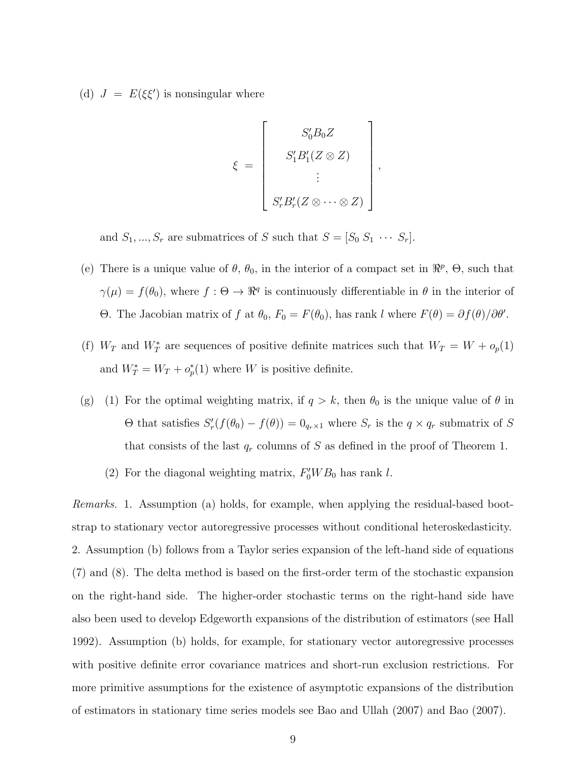(d)  $J = E(\xi \xi')$  is nonsingular where

$$
\xi = \begin{bmatrix} S_0' B_0 Z \\ S_1' B_1' (Z \otimes Z) \\ \vdots \\ S_r' B_r' (Z \otimes \cdots \otimes Z) \end{bmatrix}
$$

,

and  $S_1, ..., S_r$  are submatrices of S such that  $S = [S_0 S_1 \cdots S_r]$ .

- (e) There is a unique value of  $\theta$ ,  $\theta_0$ , in the interior of a compact set in  $\mathbb{R}^p$ ,  $\Theta$ , such that  $\gamma(\mu) = f(\theta_0)$ , where  $f : \Theta \to \Re^q$  is continuously differentiable in  $\theta$  in the interior of Θ. The Jacobian matrix of f at  $θ_0$ ,  $F_0 = F(θ_0)$ , has rank l where  $F(θ) = ∂f(θ)/∂θ'$ .
- (f)  $W_T$  and  $W_T^*$  are sequences of positive definite matrices such that  $W_T = W + o_p(1)$ and  $W^*_T = W_T + o_p^*(1)$  where W is positive definite.
- (g) (1) For the optimal weighting matrix, if  $q > k$ , then  $\theta_0$  is the unique value of  $\theta$  in  $\Theta$  that satisfies  $S'_r(f(\theta_0) - f(\theta)) = 0_{q_r \times 1}$  where  $S_r$  is the  $q \times q_r$  submatrix of S that consists of the last  $q_r$  columns of S as defined in the proof of Theorem 1.
	- (2) For the diagonal weighting matrix,  $F_0'WB_0$  has rank l.

Remarks. 1. Assumption (a) holds, for example, when applying the residual-based bootstrap to stationary vector autoregressive processes without conditional heteroskedasticity. 2. Assumption (b) follows from a Taylor series expansion of the left-hand side of equations (7) and (8). The delta method is based on the first-order term of the stochastic expansion on the right-hand side. The higher-order stochastic terms on the right-hand side have also been used to develop Edgeworth expansions of the distribution of estimators (see Hall 1992). Assumption (b) holds, for example, for stationary vector autoregressive processes with positive definite error covariance matrices and short-run exclusion restrictions. For more primitive assumptions for the existence of asymptotic expansions of the distribution of estimators in stationary time series models see Bao and Ullah (2007) and Bao (2007).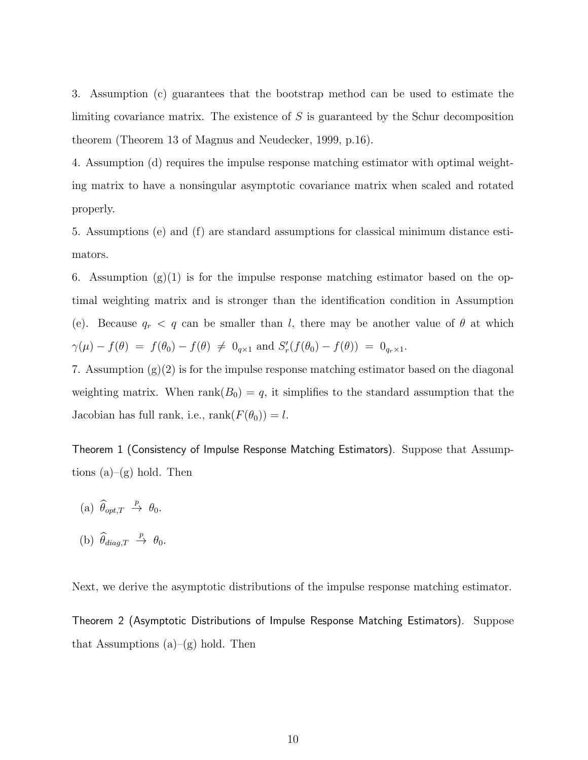3. Assumption (c) guarantees that the bootstrap method can be used to estimate the limiting covariance matrix. The existence of  $S$  is guaranteed by the Schur decomposition theorem (Theorem 13 of Magnus and Neudecker, 1999, p.16).

4. Assumption (d) requires the impulse response matching estimator with optimal weighting matrix to have a nonsingular asymptotic covariance matrix when scaled and rotated properly.

5. Assumptions (e) and (f) are standard assumptions for classical minimum distance estimators.

6. Assumption  $(g)(1)$  is for the impulse response matching estimator based on the optimal weighting matrix and is stronger than the identification condition in Assumption (e). Because  $q_r < q$  can be smaller than l, there may be another value of  $\theta$  at which  $\gamma(\mu) - f(\theta) = f(\theta_0) - f(\theta) \neq 0_{q \times 1}$  and  $S'_r(f(\theta_0) - f(\theta)) = 0_{q_r \times 1}$ .

7. Assumption (g)(2) is for the impulse response matching estimator based on the diagonal weighting matrix. When  $rank(B_0) = q$ , it simplifies to the standard assumption that the Jacobian has full rank, i.e.,  $\text{rank}(F(\theta_0)) = l$ .

Theorem 1 (Consistency of Impulse Response Matching Estimators). Suppose that Assumptions  $(a)$ – $(g)$  hold. Then

- (a)  $\widehat{\theta}_{opt,T} \stackrel{p}{\rightarrow} \theta_0$ .
- (b)  $\widehat{\theta}_{diag,T} \stackrel{p}{\rightarrow} \theta_0$ .

Next, we derive the asymptotic distributions of the impulse response matching estimator.

Theorem 2 (Asymptotic Distributions of Impulse Response Matching Estimators). Suppose that Assumptions  $(a)$ – $(g)$  hold. Then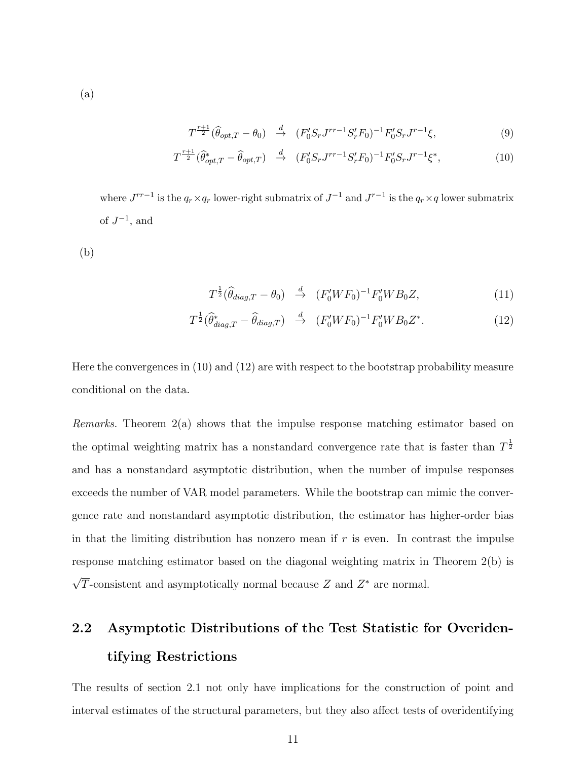$$
T^{\frac{r+1}{2}}(\hat{\theta}_{opt,T} - \theta_0) \stackrel{d}{\to} (F_0'S_r J^{rr-1} S_r' F_0)^{-1} F_0'S_r J^{r-1} \xi,
$$
\n(9)

$$
T^{\frac{r+1}{2}}(\hat{\theta}_{opt,T}^* - \hat{\theta}_{opt,T}) \stackrel{d}{\to} (F_0'S_r J^{rr-1}S_r' F_0)^{-1} F_0'S_r J^{r-1} \xi^*,
$$
 (10)

where  $J^{rr-1}$  is the  $q_r \times q_r$  lower-right submatrix of  $J^{-1}$  and  $J^{r-1}$  is the  $q_r \times q$  lower submatrix of  $J^{-1}$ , and

(b)

$$
T^{\frac{1}{2}}(\widehat{\theta}_{diag,T} - \theta_0) \stackrel{d}{\rightarrow} (F'_0WF_0)^{-1}F'_0WB_0Z,
$$
\n(11)

$$
T^{\frac{1}{2}}(\widehat{\theta}_{diag,T}^* - \widehat{\theta}_{diag,T}) \stackrel{d}{\rightarrow} (F_0'WF_0)^{-1}F_0'WB_0Z^*.
$$
 (12)

Here the convergences in (10) and (12) are with respect to the bootstrap probability measure conditional on the data.

Remarks. Theorem 2(a) shows that the impulse response matching estimator based on the optimal weighting matrix has a nonstandard convergence rate that is faster than  $T^{\frac{1}{2}}$ and has a nonstandard asymptotic distribution, when the number of impulse responses exceeds the number of VAR model parameters. While the bootstrap can mimic the convergence rate and nonstandard asymptotic distribution, the estimator has higher-order bias in that the limiting distribution has nonzero mean if  $r$  is even. In contrast the impulse response matching estimator based on the diagonal weighting matrix in Theorem 2(b) is  $\sqrt{T}$ -consistent and asymptotically normal because Z and  $Z^*$  are normal.

# 2.2 Asymptotic Distributions of the Test Statistic for Overidentifying Restrictions

The results of section 2.1 not only have implications for the construction of point and interval estimates of the structural parameters, but they also affect tests of overidentifying

(a)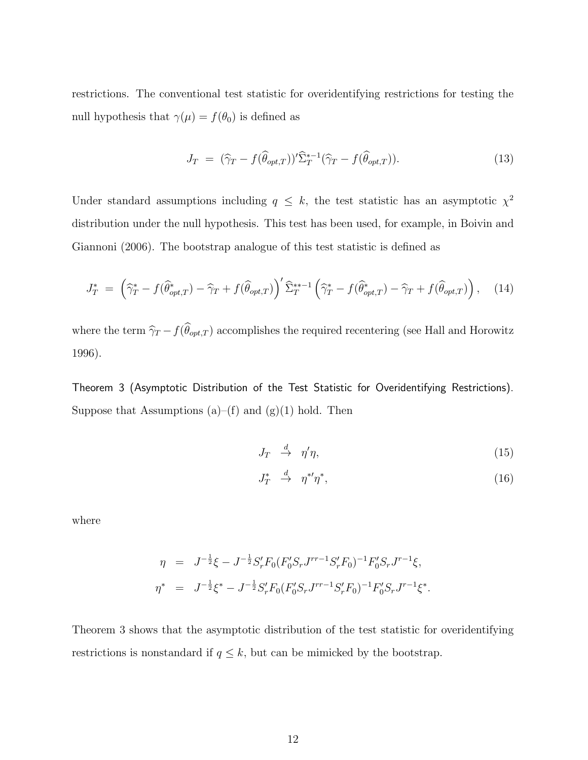restrictions. The conventional test statistic for overidentifying restrictions for testing the null hypothesis that  $\gamma(\mu) = f(\theta_0)$  is defined as

$$
J_T = (\widehat{\gamma}_T - f(\widehat{\theta}_{opt,T}))' \widehat{\Sigma}_T^{*-1} (\widehat{\gamma}_T - f(\widehat{\theta}_{opt,T})).
$$
\n(13)

Under standard assumptions including  $q \leq k$ , the test statistic has an asymptotic  $\chi^2$ distribution under the null hypothesis. This test has been used, for example, in Boivin and Giannoni (2006). The bootstrap analogue of this test statistic is defined as

$$
J_T^* = \left(\widehat{\gamma}_T^* - f(\widehat{\theta}_{opt,T}^*) - \widehat{\gamma}_T + f(\widehat{\theta}_{opt,T})\right)' \widehat{\Sigma}_T^{**-1} \left(\widehat{\gamma}_T^* - f(\widehat{\theta}_{opt,T}^*) - \widehat{\gamma}_T + f(\widehat{\theta}_{opt,T})\right), \quad (14)
$$

where the term  $\hat{\gamma}_T - f(\theta_{opt,T})$  accomplishes the required recentering (see Hall and Horowitz 1996).

Theorem 3 (Asymptotic Distribution of the Test Statistic for Overidentifying Restrictions). Suppose that Assumptions (a)–(f) and (g)(1) hold. Then

$$
J_T \quad \stackrel{d}{\to} \quad \eta'\eta,\tag{15}
$$

$$
J_T^* \quad \stackrel{d}{\to} \quad \eta^{*\prime} \eta^*,\tag{16}
$$

where

$$
\eta = J^{-\frac{1}{2}}\xi - J^{-\frac{1}{2}}S'_rF_0(F'_0S_rJ^{rr-1}S'_rF_0)^{-1}F'_0S_rJ^{r-1}\xi,
$$
  

$$
\eta^* = J^{-\frac{1}{2}}\xi^* - J^{-\frac{1}{2}}S'_rF_0(F'_0S_rJ^{rr-1}S'_rF_0)^{-1}F'_0S_rJ^{r-1}\xi^*.
$$

Theorem 3 shows that the asymptotic distribution of the test statistic for overidentifying restrictions is nonstandard if  $q \leq k$ , but can be mimicked by the bootstrap.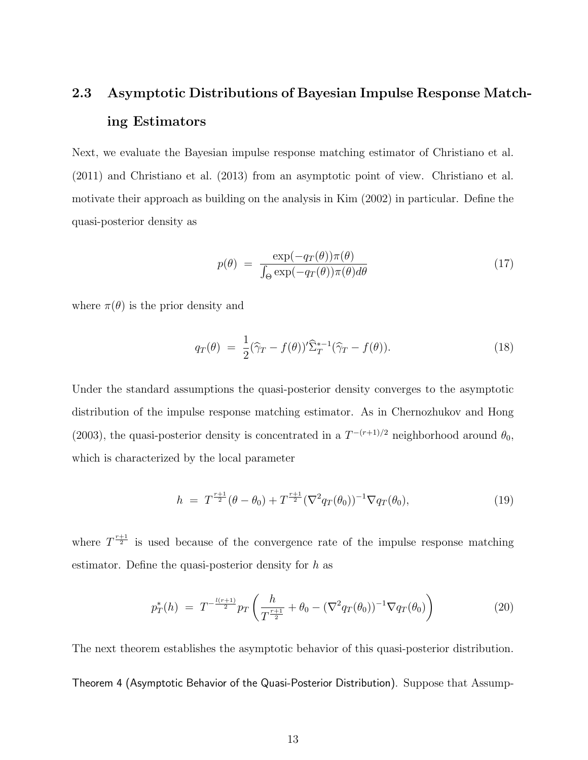# 2.3 Asymptotic Distributions of Bayesian Impulse Response Matching Estimators

Next, we evaluate the Bayesian impulse response matching estimator of Christiano et al. (2011) and Christiano et al. (2013) from an asymptotic point of view. Christiano et al. motivate their approach as building on the analysis in Kim (2002) in particular. Define the quasi-posterior density as

$$
p(\theta) = \frac{\exp(-q_T(\theta))\pi(\theta)}{\int_{\Theta} \exp(-q_T(\theta))\pi(\theta)d\theta}
$$
 (17)

where  $\pi(\theta)$  is the prior density and

$$
q_T(\theta) = \frac{1}{2} (\widehat{\gamma}_T - f(\theta))^{\prime} \widehat{\Sigma}_T^{*-1} (\widehat{\gamma}_T - f(\theta)). \tag{18}
$$

Under the standard assumptions the quasi-posterior density converges to the asymptotic distribution of the impulse response matching estimator. As in Chernozhukov and Hong (2003), the quasi-posterior density is concentrated in a  $T^{-(r+1)/2}$  neighborhood around  $\theta_0$ , which is characterized by the local parameter

$$
h = T^{\frac{r+1}{2}}(\theta - \theta_0) + T^{\frac{r+1}{2}}(\nabla^2 q_T(\theta_0))^{-1} \nabla q_T(\theta_0), \tag{19}
$$

where  $T^{\frac{r+1}{2}}$  is used because of the convergence rate of the impulse response matching estimator. Define the quasi-posterior density for  $h$  as

$$
p_T^*(h) = T^{-\frac{l(r+1)}{2}} p_T \left( \frac{h}{T^{\frac{r+1}{2}}} + \theta_0 - (\nabla^2 q_T(\theta_0))^{-1} \nabla q_T(\theta_0) \right)
$$
(20)

The next theorem establishes the asymptotic behavior of this quasi-posterior distribution. Theorem 4 (Asymptotic Behavior of the Quasi-Posterior Distribution). Suppose that Assump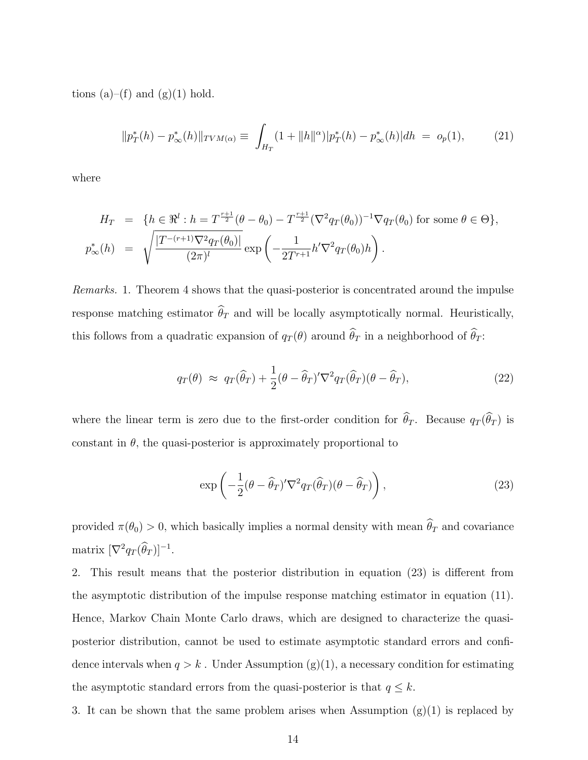tions (a)–(f) and (g)(1) hold.

$$
||p_T^*(h) - p_\infty^*(h)||_{TVM(\alpha)} \equiv \int_{H_T} (1 + ||h||^{\alpha}) |p_T^*(h) - p_\infty^*(h)| dh = o_p(1), \tag{21}
$$

where

$$
H_T = \{ h \in \mathbb{R}^l : h = T^{\frac{r+1}{2}} (\theta - \theta_0) - T^{\frac{r+1}{2}} (\nabla^2 q_T(\theta_0))^{-1} \nabla q_T(\theta_0) \text{ for some } \theta \in \Theta \},
$$
  

$$
p^*_{\infty}(h) = \sqrt{\frac{|T^{-(r+1)} \nabla^2 q_T(\theta_0)|}{(2\pi)^l}} \exp\left(-\frac{1}{2T^{r+1}} h' \nabla^2 q_T(\theta_0) h\right).
$$

Remarks. 1. Theorem 4 shows that the quasi-posterior is concentrated around the impulse response matching estimator  $\theta_T$  and will be locally asymptotically normal. Heuristically, this follows from a quadratic expansion of  $q_T(\theta)$  around  $\theta_T$  in a neighborhood of  $\theta_T$ :

$$
q_T(\theta) \approx q_T(\widehat{\theta}_T) + \frac{1}{2}(\theta - \widehat{\theta}_T)' \nabla^2 q_T(\widehat{\theta}_T) (\theta - \widehat{\theta}_T), \qquad (22)
$$

where the linear term is zero due to the first-order condition for  $\theta_T$ . Because  $q_T(\theta_T)$  is constant in  $\theta$ , the quasi-posterior is approximately proportional to

$$
\exp\left(-\frac{1}{2}(\theta - \widehat{\theta}_T)' \nabla^2 q_T(\widehat{\theta}_T)(\theta - \widehat{\theta}_T)\right),\tag{23}
$$

provided  $\pi(\theta_0) > 0$ , which basically implies a normal density with mean  $\theta_T$  and covariance matrix  $[\nabla^2 q_T(\theta_T)]^{-1}$ .

2. This result means that the posterior distribution in equation (23) is different from the asymptotic distribution of the impulse response matching estimator in equation (11). Hence, Markov Chain Monte Carlo draws, which are designed to characterize the quasiposterior distribution, cannot be used to estimate asymptotic standard errors and confidence intervals when  $q > k$ . Under Assumption (g)(1), a necessary condition for estimating the asymptotic standard errors from the quasi-posterior is that  $q \leq k$ .

3. It can be shown that the same problem arises when Assumption  $(g)(1)$  is replaced by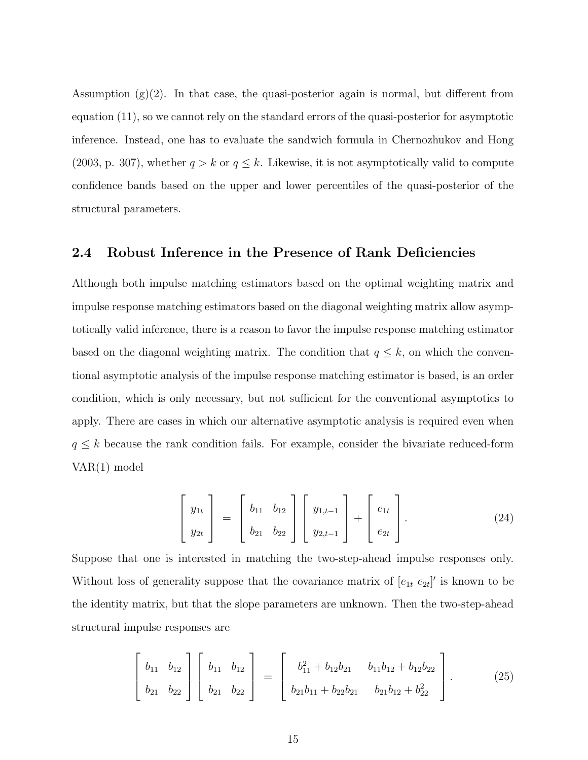Assumption  $(g)(2)$ . In that case, the quasi-posterior again is normal, but different from equation (11), so we cannot rely on the standard errors of the quasi-posterior for asymptotic inference. Instead, one has to evaluate the sandwich formula in Chernozhukov and Hong (2003, p. 307), whether  $q > k$  or  $q \leq k$ . Likewise, it is not asymptotically valid to compute confidence bands based on the upper and lower percentiles of the quasi-posterior of the structural parameters.

#### 2.4 Robust Inference in the Presence of Rank Deficiencies

Although both impulse matching estimators based on the optimal weighting matrix and impulse response matching estimators based on the diagonal weighting matrix allow asymptotically valid inference, there is a reason to favor the impulse response matching estimator based on the diagonal weighting matrix. The condition that  $q \leq k$ , on which the conventional asymptotic analysis of the impulse response matching estimator is based, is an order condition, which is only necessary, but not sufficient for the conventional asymptotics to apply. There are cases in which our alternative asymptotic analysis is required even when  $q \leq k$  because the rank condition fails. For example, consider the bivariate reduced-form VAR(1) model

$$
\begin{bmatrix} y_{1t} \\ y_{2t} \end{bmatrix} = \begin{bmatrix} b_{11} & b_{12} \\ b_{21} & b_{22} \end{bmatrix} \begin{bmatrix} y_{1,t-1} \\ y_{2,t-1} \end{bmatrix} + \begin{bmatrix} e_{1t} \\ e_{2t} \end{bmatrix}.
$$
 (24)

Suppose that one is interested in matching the two-step-ahead impulse responses only. Without loss of generality suppose that the covariance matrix of  $[e_{1t} \ e_{2t}]'$  is known to be the identity matrix, but that the slope parameters are unknown. Then the two-step-ahead structural impulse responses are

$$
\begin{bmatrix} b_{11} & b_{12} \\ b_{21} & b_{22} \end{bmatrix} \begin{bmatrix} b_{11} & b_{12} \\ b_{21} & b_{22} \end{bmatrix} = \begin{bmatrix} b_{11}^2 + b_{12}b_{21} & b_{11}b_{12} + b_{12}b_{22} \\ b_{21}b_{11} + b_{22}b_{21} & b_{21}b_{12} + b_{22}^2 \end{bmatrix}.
$$
 (25)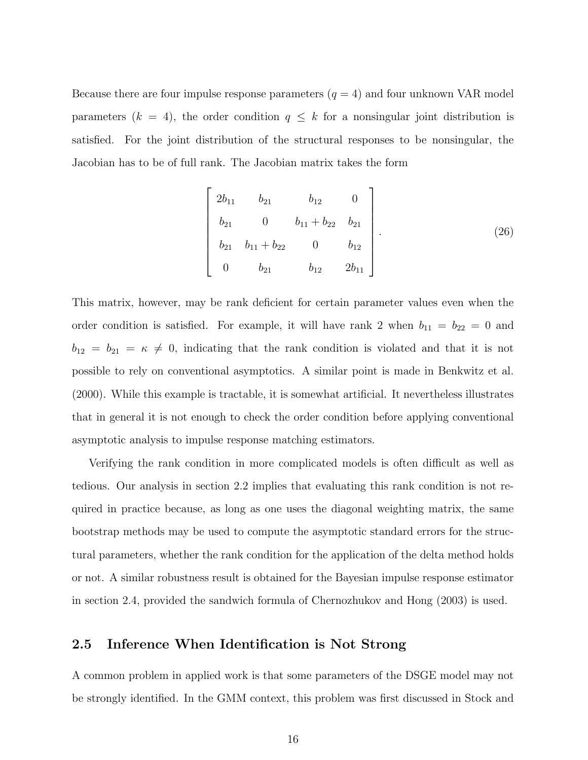Because there are four impulse response parameters  $(q = 4)$  and four unknown VAR model parameters  $(k = 4)$ , the order condition  $q \leq k$  for a nonsingular joint distribution is satisfied. For the joint distribution of the structural responses to be nonsingular, the Jacobian has to be of full rank. The Jacobian matrix takes the form

$$
\begin{bmatrix} 2b_{11} & b_{21} & b_{12} & 0 \ b_{21} & 0 & b_{11} + b_{22} & b_{21} \ b_{21} & b_{11} + b_{22} & 0 & b_{12} \ 0 & b_{21} & b_{12} & 2b_{11} \end{bmatrix}.
$$
 (26)

This matrix, however, may be rank deficient for certain parameter values even when the order condition is satisfied. For example, it will have rank 2 when  $b_{11} = b_{22} = 0$  and  $b_{12} = b_{21} = \kappa \neq 0$ , indicating that the rank condition is violated and that it is not possible to rely on conventional asymptotics. A similar point is made in Benkwitz et al. (2000). While this example is tractable, it is somewhat artificial. It nevertheless illustrates that in general it is not enough to check the order condition before applying conventional asymptotic analysis to impulse response matching estimators.

Verifying the rank condition in more complicated models is often difficult as well as tedious. Our analysis in section 2.2 implies that evaluating this rank condition is not required in practice because, as long as one uses the diagonal weighting matrix, the same bootstrap methods may be used to compute the asymptotic standard errors for the structural parameters, whether the rank condition for the application of the delta method holds or not. A similar robustness result is obtained for the Bayesian impulse response estimator in section 2.4, provided the sandwich formula of Chernozhukov and Hong (2003) is used.

#### 2.5 Inference When Identification is Not Strong

A common problem in applied work is that some parameters of the DSGE model may not be strongly identified. In the GMM context, this problem was first discussed in Stock and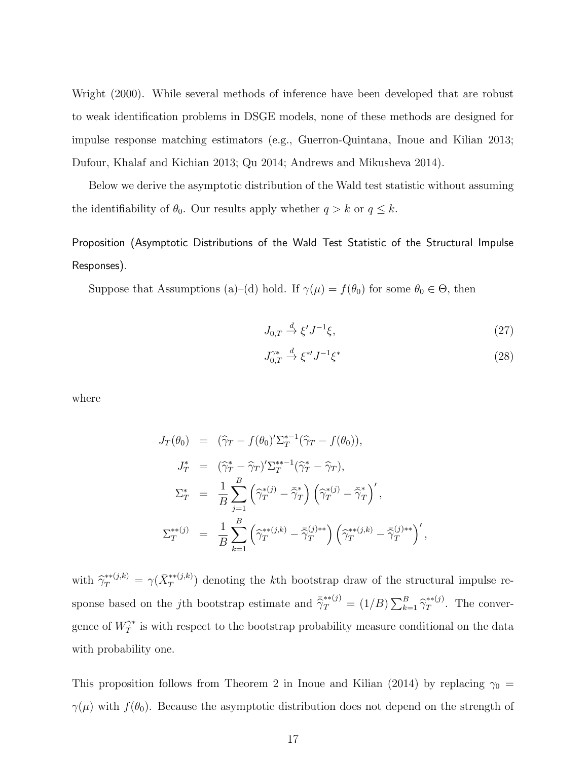Wright (2000). While several methods of inference have been developed that are robust to weak identification problems in DSGE models, none of these methods are designed for impulse response matching estimators (e.g., Guerron-Quintana, Inoue and Kilian 2013; Dufour, Khalaf and Kichian 2013; Qu 2014; Andrews and Mikusheva 2014).

Below we derive the asymptotic distribution of the Wald test statistic without assuming the identifiability of  $\theta_0$ . Our results apply whether  $q > k$  or  $q \leq k$ .

Proposition (Asymptotic Distributions of the Wald Test Statistic of the Structural Impulse Responses).

Suppose that Assumptions (a)–(d) hold. If  $\gamma(\mu) = f(\theta_0)$  for some  $\theta_0 \in \Theta$ , then

$$
J_{0,T} \stackrel{d}{\to} \xi' J^{-1} \xi,\tag{27}
$$

$$
J_{0,T}^{\gamma*} \stackrel{d}{\rightarrow} \xi^{*'} J^{-1} \xi^* \tag{28}
$$

where

$$
J_T(\theta_0) = (\hat{\gamma}_T - f(\theta_0)') \Sigma_T^{*-1} (\hat{\gamma}_T - f(\theta_0)),
$$
  
\n
$$
J_T^* = (\hat{\gamma}_T^* - \hat{\gamma}_T) \Sigma_T^{*-1} (\hat{\gamma}_T^* - \hat{\gamma}_T),
$$
  
\n
$$
\Sigma_T^* = \frac{1}{B} \sum_{j=1}^B (\hat{\gamma}_T^{*(j)} - \bar{\hat{\gamma}}_T^*) (\hat{\gamma}_T^{*(j)} - \bar{\hat{\gamma}}_T^*)',
$$
  
\n
$$
\Sigma_T^{**}(j) = \frac{1}{B} \sum_{k=1}^B (\hat{\gamma}_T^{**}(j,k) - \bar{\hat{\gamma}}_T^{(j)**}) (\hat{\gamma}_T^{**}(j,k) - \bar{\hat{\gamma}}_T^{(j)**})',
$$

with  $\hat{\gamma}_T^{**(j,k)} = \gamma(\bar{X}_T^{**(j,k)})$  denoting the kth bootstrap draw of the structural impulse response based on the *j*th bootstrap estimate and  $\bar{\hat{\gamma}}_T^{**}(j) = (1/B) \sum_{k=1}^B \hat{\gamma}_T^{**}(j)$ . The convergence of  $W^{\gamma*}_T$  is with respect to the bootstrap probability measure conditional on the data with probability one.

This proposition follows from Theorem 2 in Inoue and Kilian (2014) by replacing  $\gamma_0$  =  $\gamma(\mu)$  with  $f(\theta_0)$ . Because the asymptotic distribution does not depend on the strength of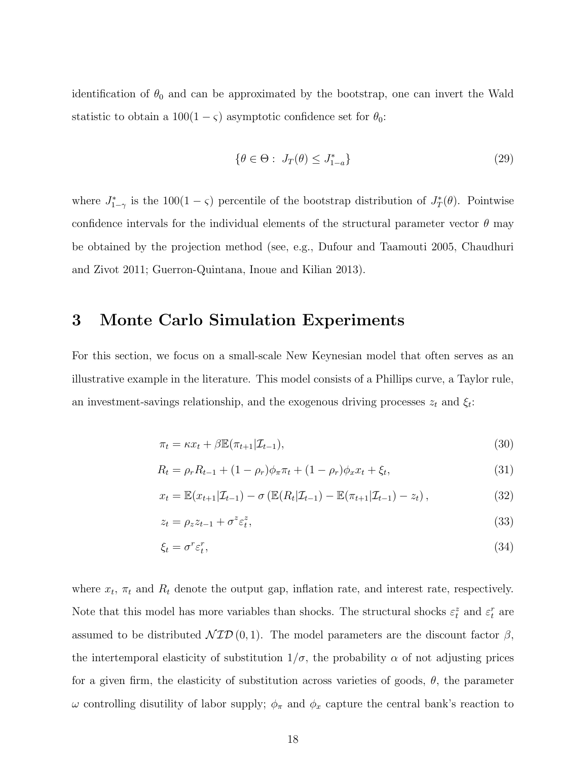identification of  $\theta_0$  and can be approximated by the bootstrap, one can invert the Wald statistic to obtain a  $100(1 - \varsigma)$  asymptotic confidence set for  $\theta_0$ :

$$
\{\theta \in \Theta : J_T(\theta) \le J_{1-a}^*\}\tag{29}
$$

where  $J_{1-\gamma}^*$  is the 100(1 -  $\varsigma$ ) percentile of the bootstrap distribution of  $J_T^*(\theta)$ . Pointwise confidence intervals for the individual elements of the structural parameter vector  $\theta$  may be obtained by the projection method (see, e.g., Dufour and Taamouti 2005, Chaudhuri and Zivot 2011; Guerron-Quintana, Inoue and Kilian 2013).

### 3 Monte Carlo Simulation Experiments

For this section, we focus on a small-scale New Keynesian model that often serves as an illustrative example in the literature. This model consists of a Phillips curve, a Taylor rule, an investment-savings relationship, and the exogenous driving processes  $z_t$  and  $\xi_t$ :

$$
\pi_t = \kappa x_t + \beta \mathbb{E}(\pi_{t+1}|\mathcal{I}_{t-1}),\tag{30}
$$

$$
R_t = \rho_r R_{t-1} + (1 - \rho_r) \phi_\pi \pi_t + (1 - \rho_r) \phi_x x_t + \xi_t,
$$
\n(31)

$$
x_t = \mathbb{E}(x_{t+1}|\mathcal{I}_{t-1}) - \sigma\left(\mathbb{E}(R_t|\mathcal{I}_{t-1}) - \mathbb{E}(\pi_{t+1}|\mathcal{I}_{t-1}) - z_t\right),\tag{32}
$$

$$
z_t = \rho_z z_{t-1} + \sigma^z \varepsilon_t^z,\tag{33}
$$

$$
\xi_t = \sigma^r \varepsilon_t^r,\tag{34}
$$

where  $x_t$ ,  $\pi_t$  and  $R_t$  denote the output gap, inflation rate, and interest rate, respectively. Note that this model has more variables than shocks. The structural shocks  $\varepsilon_t^z$  and  $\varepsilon_t^r$  are assumed to be distributed  $\mathcal{NID}(0,1)$ . The model parameters are the discount factor  $\beta$ , the intertemporal elasticity of substitution  $1/\sigma$ , the probability  $\alpha$  of not adjusting prices for a given firm, the elasticity of substitution across varieties of goods,  $\theta$ , the parameter  $ω$  controlling disutility of labor supply;  $φ_π$  and  $φ_x$  capture the central bank's reaction to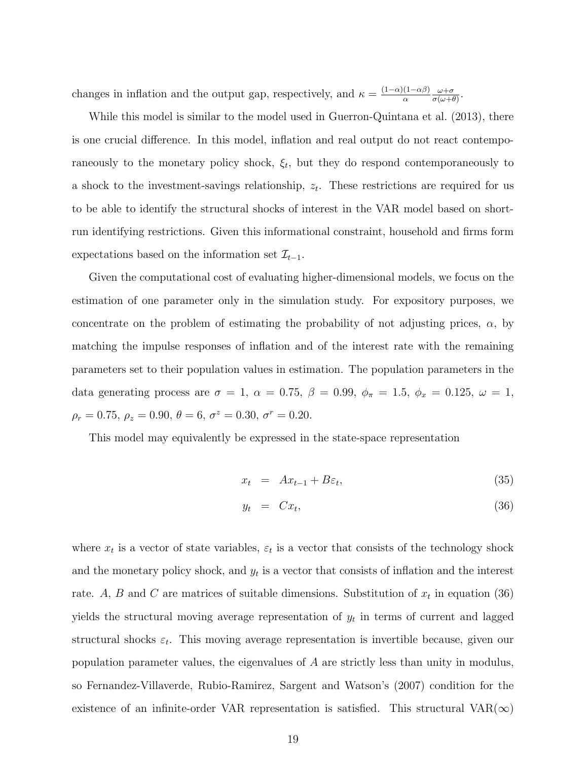changes in inflation and the output gap, respectively, and  $\kappa = \frac{(1-\alpha)(1-\alpha\beta)}{\alpha}$  $ω + σ$  $\frac{\omega+\sigma}{\sigma(\omega+\theta)}$ .

While this model is similar to the model used in Guerron-Quintana et al. (2013), there is one crucial difference. In this model, inflation and real output do not react contemporaneously to the monetary policy shock,  $\xi_t$ , but they do respond contemporaneously to a shock to the investment-savings relationship,  $z_t$ . These restrictions are required for us to be able to identify the structural shocks of interest in the VAR model based on shortrun identifying restrictions. Given this informational constraint, household and firms form expectations based on the information set  $\mathcal{I}_{t-1}$ .

Given the computational cost of evaluating higher-dimensional models, we focus on the estimation of one parameter only in the simulation study. For expository purposes, we concentrate on the problem of estimating the probability of not adjusting prices,  $\alpha$ , by matching the impulse responses of inflation and of the interest rate with the remaining parameters set to their population values in estimation. The population parameters in the data generating process are  $\sigma = 1$ ,  $\alpha = 0.75$ ,  $\beta = 0.99$ ,  $\phi_{\pi} = 1.5$ ,  $\phi_{x} = 0.125$ ,  $\omega = 1$ ,  $\rho_r = 0.75, \, \rho_z = 0.90, \, \theta = 6, \, \sigma^z = 0.30, \, \sigma^r = 0.20.$ 

This model may equivalently be expressed in the state-space representation

$$
x_t = Ax_{t-1} + B\varepsilon_t, \tag{35}
$$

$$
y_t = C x_t, \tag{36}
$$

where  $x_t$  is a vector of state variables,  $\varepsilon_t$  is a vector that consists of the technology shock and the monetary policy shock, and  $y_t$  is a vector that consists of inflation and the interest rate. A, B and C are matrices of suitable dimensions. Substitution of  $x_t$  in equation (36) yields the structural moving average representation of  $y_t$  in terms of current and lagged structural shocks  $\varepsilon_t$ . This moving average representation is invertible because, given our population parameter values, the eigenvalues of A are strictly less than unity in modulus, so Fernandez-Villaverde, Rubio-Ramirez, Sargent and Watson's (2007) condition for the existence of an infinite-order VAR representation is satisfied. This structural VAR( $\infty$ )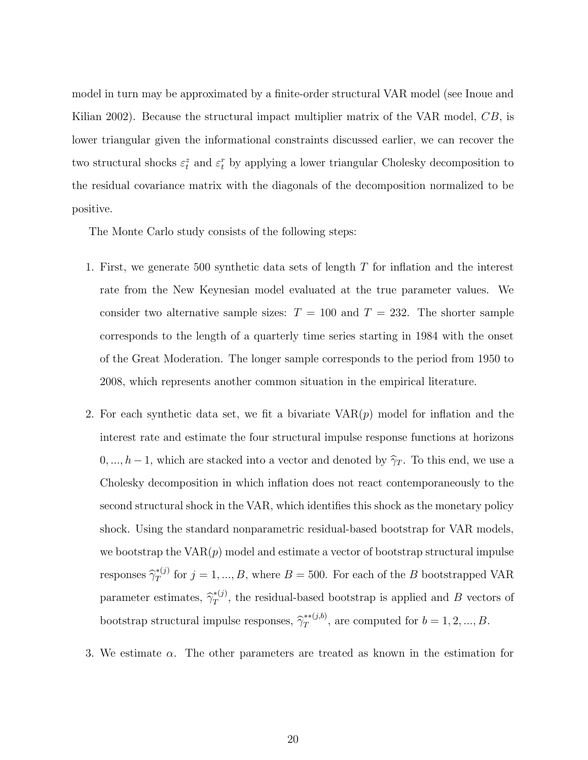model in turn may be approximated by a finite-order structural VAR model (see Inoue and Kilian 2002). Because the structural impact multiplier matrix of the VAR model, CB, is lower triangular given the informational constraints discussed earlier, we can recover the two structural shocks  $\varepsilon_t^z$  and  $\varepsilon_t^r$  by applying a lower triangular Cholesky decomposition to the residual covariance matrix with the diagonals of the decomposition normalized to be positive.

The Monte Carlo study consists of the following steps:

- 1. First, we generate 500 synthetic data sets of length T for inflation and the interest rate from the New Keynesian model evaluated at the true parameter values. We consider two alternative sample sizes:  $T = 100$  and  $T = 232$ . The shorter sample corresponds to the length of a quarterly time series starting in 1984 with the onset of the Great Moderation. The longer sample corresponds to the period from 1950 to 2008, which represents another common situation in the empirical literature.
- 2. For each synthetic data set, we fit a bivariate  $VAR(p)$  model for inflation and the interest rate and estimate the four structural impulse response functions at horizons  $0, ..., h-1$ , which are stacked into a vector and denoted by  $\hat{\gamma}_T$ . To this end, we use a Cholesky decomposition in which inflation does not react contemporaneously to the second structural shock in the VAR, which identifies this shock as the monetary policy shock. Using the standard nonparametric residual-based bootstrap for VAR models, we bootstrap the  $VAR(p)$  model and estimate a vector of bootstrap structural impulse responses  $\hat{\gamma}_T^{*(j)}$  for  $j = 1, ..., B$ , where  $B = 500$ . For each of the B bootstrapped VAR parameter estimates,  $\hat{\gamma}_T^{*(j)}$ , the residual-based bootstrap is applied and B vectors of bootstrap structural impulse responses,  $\hat{\gamma}_T^{*(j,b)}$ , are computed for  $b = 1, 2, ..., B$ .
- 3. We estimate  $\alpha$ . The other parameters are treated as known in the estimation for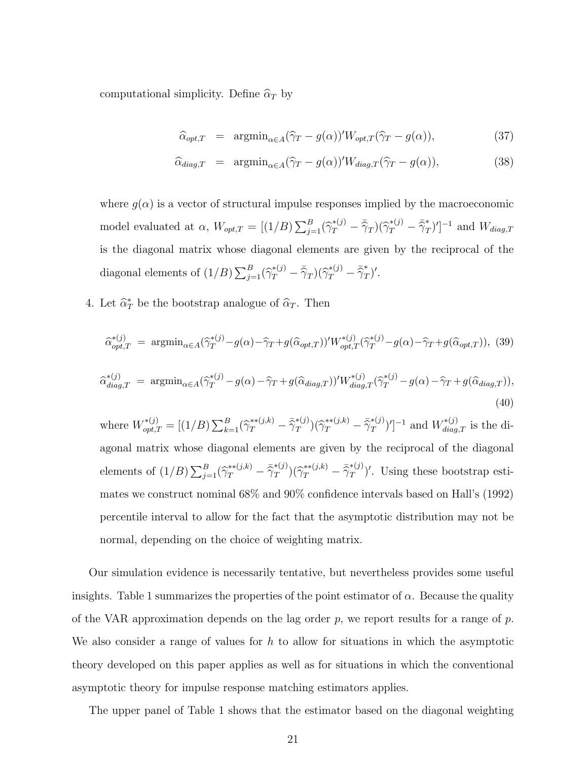computational simplicity. Define  $\hat{\alpha}_T$  by

$$
\widehat{\alpha}_{opt,T} = \operatorname{argmin}_{\alpha \in A} (\widehat{\gamma}_T - g(\alpha))' W_{opt,T} (\widehat{\gamma}_T - g(\alpha)), \tag{37}
$$

$$
\widehat{\alpha}_{diag,T} = \operatorname{argmin}_{\alpha \in A} (\widehat{\gamma}_T - g(\alpha))' W_{diag,T} (\widehat{\gamma}_T - g(\alpha)), \tag{38}
$$

where  $g(\alpha)$  is a vector of structural impulse responses implied by the macroeconomic model evaluated at  $\alpha$ ,  $W_{opt,T} = [(1/B) \sum_{j=1}^{B} (\hat{\gamma}_T^{*(j)} - \bar{\hat{\gamma}}_T)(\hat{\gamma}_T^{*(j)} - \bar{\hat{\gamma}}_T^*)']^{-1}$  and  $W_{diag,T}$ is the diagonal matrix whose diagonal elements are given by the reciprocal of the diagonal elements of  $(1/B)\sum_{j=1}^{B}(\hat{\gamma}_T^{*(j)} - \bar{\hat{\gamma}}_T)(\hat{\gamma}_T^{*(j)} - \bar{\hat{\gamma}}_T^*)'$ .

4. Let  $\hat{\alpha}_T^*$  be the bootstrap analogue of  $\hat{\alpha}_T$ . Then

$$
\hat{\alpha}_{opt,T}^{*(j)} = \operatorname{argmin}_{\alpha \in A} (\hat{\gamma}_T^{*(j)} - g(\alpha) - \hat{\gamma}_T + g(\hat{\alpha}_{opt,T}))' W_{opt,T}^{*(j)}(\hat{\gamma}_T^{*(j)} - g(\alpha) - \hat{\gamma}_T + g(\hat{\alpha}_{opt,T})), \tag{39}
$$

$$
\hat{\alpha}_{diag,T}^{*(j)} = \operatorname{argmin}_{\alpha \in A} (\hat{\gamma}_T^{*(j)} - g(\alpha) - \hat{\gamma}_T + g(\hat{\alpha}_{diag,T}))' W_{diag,T}^{*(j)}(\hat{\gamma}_T^{*(j)} - g(\alpha) - \hat{\gamma}_T + g(\hat{\alpha}_{diag,T})), \tag{40}
$$

where  $W_{opt,T}^{*(j)} = [(1/B) \sum_{k=1}^{B} (\hat{\gamma}_T^{*(j,k)} - \bar{\hat{\gamma}}_T^{*(j)}) (\hat{\gamma}_T^{*(j,k)} - \bar{\hat{\gamma}}_T^{*(j)})']^{-1}$  and  $W_{diag,T}^{*(j)}$  is the diagonal matrix whose diagonal elements are given by the reciprocal of the diagonal elements of  $(1/B)\sum_{j=1}^{B}(\hat{\gamma}_T^{*(j,k)}-\bar{\hat{\gamma}}_T^{*(j)})(\hat{\gamma}_T^{*(j,k)}-\bar{\hat{\gamma}}_T^{*(j)})'$ . Using these bootstrap estimates we construct nominal 68% and 90% confidence intervals based on Hall's (1992) percentile interval to allow for the fact that the asymptotic distribution may not be normal, depending on the choice of weighting matrix.

Our simulation evidence is necessarily tentative, but nevertheless provides some useful insights. Table 1 summarizes the properties of the point estimator of  $\alpha$ . Because the quality of the VAR approximation depends on the lag order  $p$ , we report results for a range of  $p$ . We also consider a range of values for h to allow for situations in which the asymptotic theory developed on this paper applies as well as for situations in which the conventional asymptotic theory for impulse response matching estimators applies.

The upper panel of Table 1 shows that the estimator based on the diagonal weighting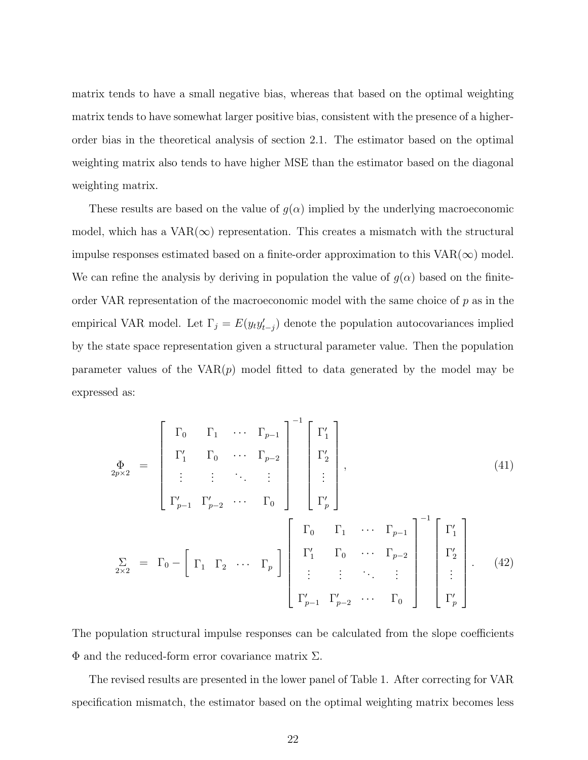matrix tends to have a small negative bias, whereas that based on the optimal weighting matrix tends to have somewhat larger positive bias, consistent with the presence of a higherorder bias in the theoretical analysis of section 2.1. The estimator based on the optimal weighting matrix also tends to have higher MSE than the estimator based on the diagonal weighting matrix.

These results are based on the value of  $g(\alpha)$  implied by the underlying macroeconomic model, which has a  $VAR(\infty)$  representation. This creates a mismatch with the structural impulse responses estimated based on a finite-order approximation to this  $VAR(\infty)$  model. We can refine the analysis by deriving in population the value of  $g(\alpha)$  based on the finiteorder VAR representation of the macroeconomic model with the same choice of  $p$  as in the empirical VAR model. Let  $\Gamma_j = E(y_t y'_{t-j})$  denote the population autocovariances implied by the state space representation given a structural parameter value. Then the population parameter values of the  $VAR(p)$  model fitted to data generated by the model may be expressed as:

$$
\Phi_{2p\times 2} = \begin{bmatrix} \Gamma_0 & \Gamma_1 & \cdots & \Gamma_{p-1} \\ \Gamma'_1 & \Gamma_0 & \cdots & \Gamma_{p-2} \\ \vdots & \vdots & \ddots & \vdots \\ \Gamma'_{p-1} & \Gamma'_{p-2} & \cdots & \Gamma_0 \end{bmatrix} \begin{bmatrix} \Gamma'_1 \\ \Gamma'_2 \\ \vdots \\ \Gamma'_p \end{bmatrix},
$$
\n(41)\n
$$
\sum_{2\times 2} = \Gamma_0 - \begin{bmatrix} \Gamma_1 & \Gamma_2 & \cdots & \Gamma_p \end{bmatrix} \begin{bmatrix} \Gamma_0 & \Gamma_1 & \cdots & \Gamma_{p-1} \\ \Gamma'_1 & \Gamma_0 & \cdots & \Gamma_{p-2} \\ \vdots & \vdots & \ddots & \vdots \\ \Gamma'_{p-1} & \Gamma'_{p-2} & \cdots & \Gamma_0 \end{bmatrix}^{-1} \begin{bmatrix} \Gamma'_1 \\ \Gamma'_2 \\ \vdots \\ \Gamma'_p \end{bmatrix}.
$$
\n(42)

The population structural impulse responses can be calculated from the slope coefficients  $\Phi$  and the reduced-form error covariance matrix Σ.

The revised results are presented in the lower panel of Table 1. After correcting for VAR specification mismatch, the estimator based on the optimal weighting matrix becomes less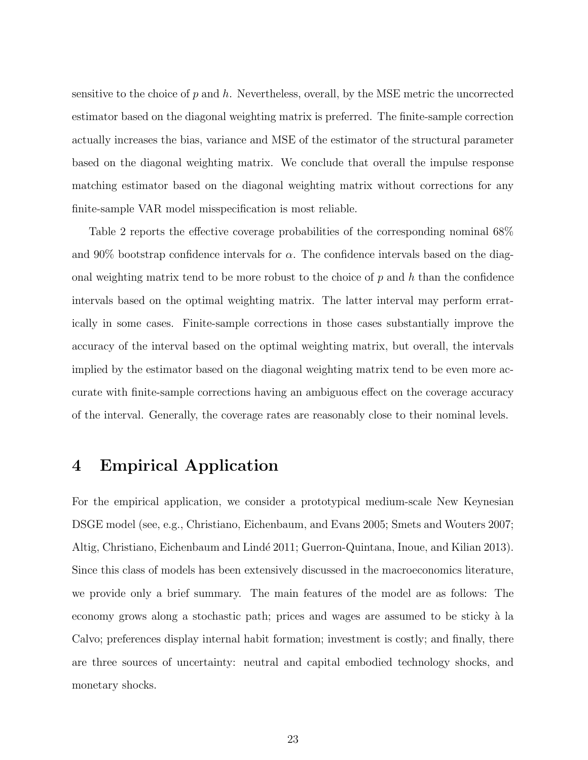sensitive to the choice of  $p$  and  $h$ . Nevertheless, overall, by the MSE metric the uncorrected estimator based on the diagonal weighting matrix is preferred. The finite-sample correction actually increases the bias, variance and MSE of the estimator of the structural parameter based on the diagonal weighting matrix. We conclude that overall the impulse response matching estimator based on the diagonal weighting matrix without corrections for any finite-sample VAR model misspecification is most reliable.

Table 2 reports the effective coverage probabilities of the corresponding nominal 68% and 90% bootstrap confidence intervals for  $\alpha$ . The confidence intervals based on the diagonal weighting matrix tend to be more robust to the choice of  $p$  and  $h$  than the confidence intervals based on the optimal weighting matrix. The latter interval may perform erratically in some cases. Finite-sample corrections in those cases substantially improve the accuracy of the interval based on the optimal weighting matrix, but overall, the intervals implied by the estimator based on the diagonal weighting matrix tend to be even more accurate with finite-sample corrections having an ambiguous effect on the coverage accuracy of the interval. Generally, the coverage rates are reasonably close to their nominal levels.

### 4 Empirical Application

For the empirical application, we consider a prototypical medium-scale New Keynesian DSGE model (see, e.g., Christiano, Eichenbaum, and Evans 2005; Smets and Wouters 2007; Altig, Christiano, Eichenbaum and Lindé 2011; Guerron-Quintana, Inoue, and Kilian 2013). Since this class of models has been extensively discussed in the macroeconomics literature, we provide only a brief summary. The main features of the model are as follows: The economy grows along a stochastic path; prices and wages are assumed to be sticky à la Calvo; preferences display internal habit formation; investment is costly; and finally, there are three sources of uncertainty: neutral and capital embodied technology shocks, and monetary shocks.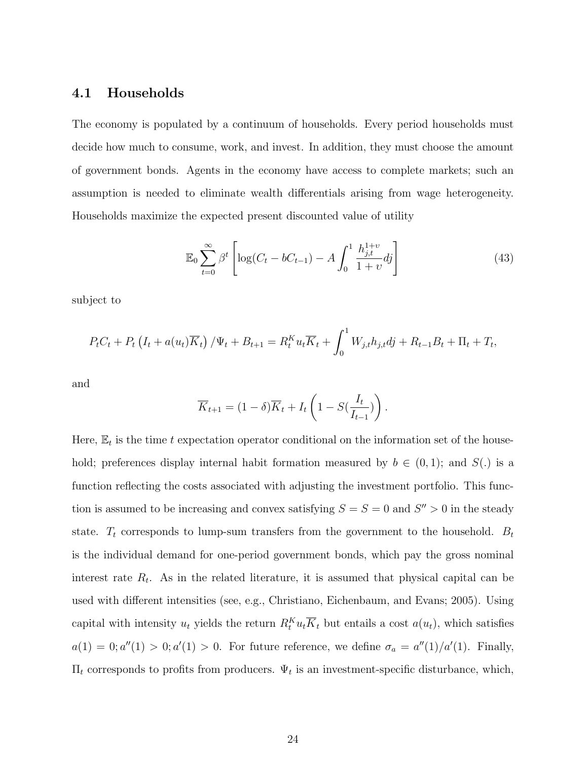#### 4.1 Households

The economy is populated by a continuum of households. Every period households must decide how much to consume, work, and invest. In addition, they must choose the amount of government bonds. Agents in the economy have access to complete markets; such an assumption is needed to eliminate wealth differentials arising from wage heterogeneity. Households maximize the expected present discounted value of utility

$$
\mathbb{E}_0 \sum_{t=0}^{\infty} \beta^t \left[ \log(C_t - bC_{t-1}) - A \int_0^1 \frac{h_{j,t}^{1+v}}{1+v} dj \right]
$$
(43)

subject to

$$
P_t C_t + P_t \left( I_t + a(u_t) \overline{K}_t \right) / \Psi_t + B_{t+1} = R_t^K u_t \overline{K}_t + \int_0^1 W_{j,t} h_{j,t} d\dot{j} + R_{t-1} B_t + \Pi_t + T_t,
$$

and

$$
\overline{K}_{t+1} = (1 - \delta)\overline{K}_t + I_t \left(1 - S(\frac{I_t}{I_{t-1}})\right).
$$

Here,  $\mathbb{E}_t$  is the time t expectation operator conditional on the information set of the household; preferences display internal habit formation measured by  $b \in (0,1)$ ; and  $S(.)$  is a function reflecting the costs associated with adjusting the investment portfolio. This function is assumed to be increasing and convex satisfying  $S = S = 0$  and  $S'' > 0$  in the steady state.  $T_t$  corresponds to lump-sum transfers from the government to the household.  $B_t$ is the individual demand for one-period government bonds, which pay the gross nominal interest rate  $R_t$ . As in the related literature, it is assumed that physical capital can be used with different intensities (see, e.g., Christiano, Eichenbaum, and Evans; 2005). Using capital with intensity  $u_t$  yields the return  $R_t^K u_t \overline{K}_t$  but entails a cost  $a(u_t)$ , which satisfies  $a(1) = 0; a''(1) > 0; a'(1) > 0.$  For future reference, we define  $\sigma_a = a''(1)/a'(1)$ . Finally,  $\Pi_t$  corresponds to profits from producers.  $\Psi_t$  is an investment-specific disturbance, which,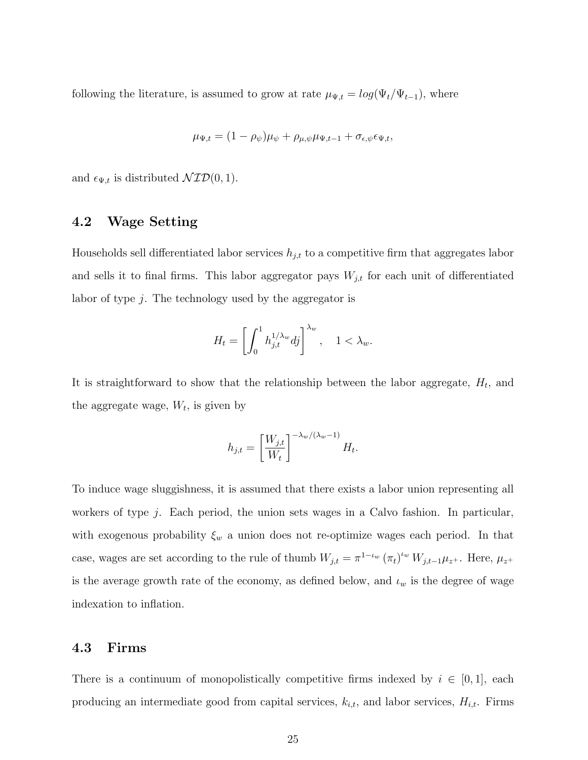following the literature, is assumed to grow at rate  $\mu_{\Psi,t} = log(\Psi_t / \Psi_{t-1})$ , where

$$
\mu_{\Psi,t} = (1 - \rho_{\psi})\mu_{\psi} + \rho_{\mu,\psi}\mu_{\Psi,t-1} + \sigma_{\epsilon,\psi}\epsilon_{\Psi,t},
$$

and  $\epsilon_{\Psi,t}$  is distributed  $\mathcal{NID}(0, 1)$ .

### 4.2 Wage Setting

Households sell differentiated labor services  $h_{j,t}$  to a competitive firm that aggregates labor and sells it to final firms. This labor aggregator pays  $W_{j,t}$  for each unit of differentiated labor of type  $j$ . The technology used by the aggregator is

$$
H_t = \left[ \int_0^1 h_{j,t}^{1/\lambda_w} dj \right]^{\lambda_w}, \quad 1 < \lambda_w.
$$

It is straightforward to show that the relationship between the labor aggregate,  $H_t$ , and the aggregate wage,  $W_t$ , is given by

$$
h_{j,t} = \left[\frac{W_{j,t}}{W_t}\right]^{-\lambda_w/(\lambda_w - 1)} H_t.
$$

To induce wage sluggishness, it is assumed that there exists a labor union representing all workers of type j. Each period, the union sets wages in a Calvo fashion. In particular, with exogenous probability  $\xi_w$  a union does not re-optimize wages each period. In that case, wages are set according to the rule of thumb  $W_{j,t} = \pi^{1-\iota_w} (\pi_t)^{\iota_w} W_{j,t-1} \mu_{z^+}$ . Here,  $\mu_{z^+}$ is the average growth rate of the economy, as defined below, and  $\iota_w$  is the degree of wage indexation to inflation.

### 4.3 Firms

There is a continuum of monopolistically competitive firms indexed by  $i \in [0,1]$ , each producing an intermediate good from capital services,  $k_{i,t}$ , and labor services,  $H_{i,t}$ . Firms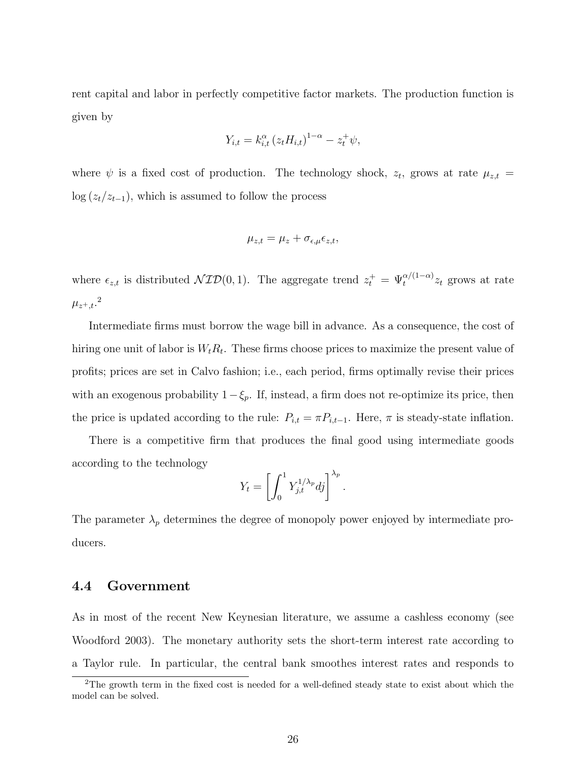rent capital and labor in perfectly competitive factor markets. The production function is given by

$$
Y_{i,t} = k_{i,t}^{\alpha} (z_t H_{i,t})^{1-\alpha} - z_t^+ \psi,
$$

where  $\psi$  is a fixed cost of production. The technology shock,  $z_t$ , grows at rate  $\mu_{z,t}$  =  $\log (z_t/z_{t-1})$ , which is assumed to follow the process

$$
\mu_{z,t} = \mu_z + \sigma_{\epsilon,\mu} \epsilon_{z,t},
$$

where  $\epsilon_{z,t}$  is distributed  $\mathcal{NID}(0,1)$ . The aggregate trend  $z_t^+ = \Psi_t^{\alpha/(1-\alpha)} z_t$  grows at rate  $\mu_{z^+,t}$ .<sup>2</sup>

Intermediate firms must borrow the wage bill in advance. As a consequence, the cost of hiring one unit of labor is  $W_t R_t$ . These firms choose prices to maximize the present value of profits; prices are set in Calvo fashion; i.e., each period, firms optimally revise their prices with an exogenous probability  $1-\xi_p$ . If, instead, a firm does not re-optimize its price, then the price is updated according to the rule:  $P_{i,t} = \pi P_{i,t-1}$ . Here,  $\pi$  is steady-state inflation.

There is a competitive firm that produces the final good using intermediate goods according to the technology

$$
Y_t = \left[ \int_0^1 Y_{j,t}^{1/\lambda_p} dj \right]^{\lambda_p}.
$$

The parameter  $\lambda_p$  determines the degree of monopoly power enjoyed by intermediate producers.

#### 4.4 Government

As in most of the recent New Keynesian literature, we assume a cashless economy (see Woodford 2003). The monetary authority sets the short-term interest rate according to a Taylor rule. In particular, the central bank smoothes interest rates and responds to

<sup>2</sup>The growth term in the fixed cost is needed for a well-defined steady state to exist about which the model can be solved.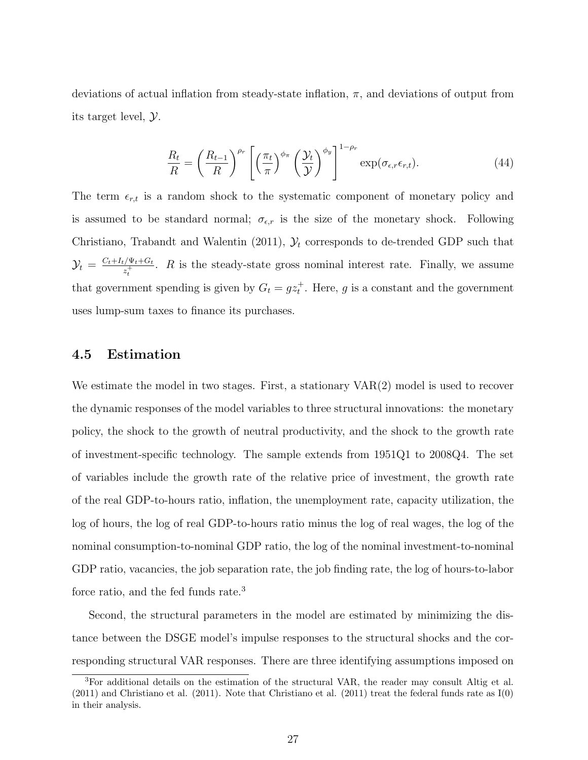deviations of actual inflation from steady-state inflation,  $\pi$ , and deviations of output from its target level, Y.

$$
\frac{R_t}{R} = \left(\frac{R_{t-1}}{R}\right)^{\rho_r} \left[ \left(\frac{\pi_t}{\pi}\right)^{\phi_\pi} \left(\frac{\mathcal{Y}_t}{\mathcal{Y}}\right)^{\phi_y} \right]^{1-\rho_r} \exp(\sigma_{\epsilon,r}\epsilon_{r,t}). \tag{44}
$$

The term  $\epsilon_{r,t}$  is a random shock to the systematic component of monetary policy and is assumed to be standard normal;  $\sigma_{\epsilon,r}$  is the size of the monetary shock. Following Christiano, Trabandt and Walentin (2011),  $\mathcal{Y}_t$  corresponds to de-trended GDP such that  $\mathcal{Y}_t \,=\, \frac{C_t + I_t/\Psi_t + G_t}{z_t^+}$  $z_t^{+\sqrt{\Psi_t + \mathbf{G}_t}}$ . R is the steady-state gross nominal interest rate. Finally, we assume that government spending is given by  $G_t = gz_t^+$ . Here, g is a constant and the government uses lump-sum taxes to finance its purchases.

#### 4.5 Estimation

We estimate the model in two stages. First, a stationary  $VAR(2)$  model is used to recover the dynamic responses of the model variables to three structural innovations: the monetary policy, the shock to the growth of neutral productivity, and the shock to the growth rate of investment-specific technology. The sample extends from 1951Q1 to 2008Q4. The set of variables include the growth rate of the relative price of investment, the growth rate of the real GDP-to-hours ratio, inflation, the unemployment rate, capacity utilization, the log of hours, the log of real GDP-to-hours ratio minus the log of real wages, the log of the nominal consumption-to-nominal GDP ratio, the log of the nominal investment-to-nominal GDP ratio, vacancies, the job separation rate, the job finding rate, the log of hours-to-labor force ratio, and the fed funds rate.<sup>3</sup>

Second, the structural parameters in the model are estimated by minimizing the distance between the DSGE model's impulse responses to the structural shocks and the corresponding structural VAR responses. There are three identifying assumptions imposed on

<sup>3</sup>For additional details on the estimation of the structural VAR, the reader may consult Altig et al.  $(2011)$  and Christiano et al.  $(2011)$ . Note that Christiano et al.  $(2011)$  treat the federal funds rate as  $I(0)$ in their analysis.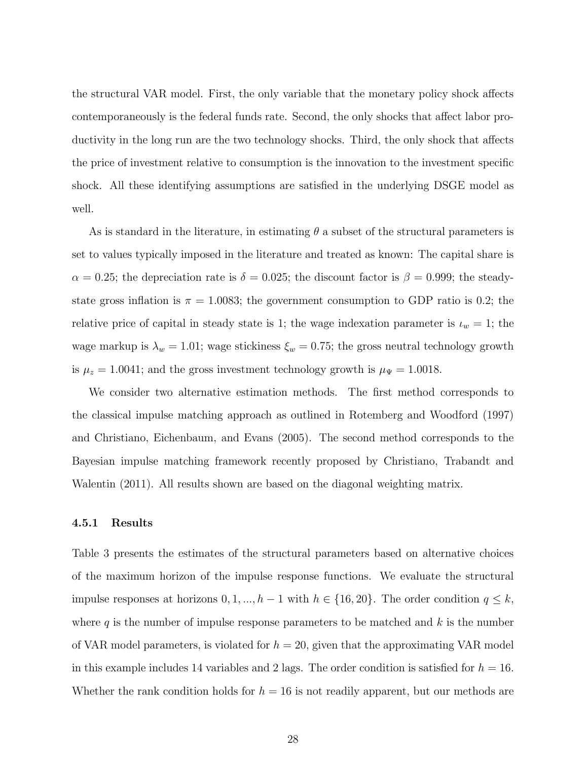the structural VAR model. First, the only variable that the monetary policy shock affects contemporaneously is the federal funds rate. Second, the only shocks that affect labor productivity in the long run are the two technology shocks. Third, the only shock that affects the price of investment relative to consumption is the innovation to the investment specific shock. All these identifying assumptions are satisfied in the underlying DSGE model as well.

As is standard in the literature, in estimating  $\theta$  a subset of the structural parameters is set to values typically imposed in the literature and treated as known: The capital share is  $\alpha = 0.25$ ; the depreciation rate is  $\delta = 0.025$ ; the discount factor is  $\beta = 0.999$ ; the steadystate gross inflation is  $\pi = 1.0083$ ; the government consumption to GDP ratio is 0.2; the relative price of capital in steady state is 1; the wage indexation parameter is  $\iota_w = 1$ ; the wage markup is  $\lambda_w = 1.01$ ; wage stickiness  $\xi_w = 0.75$ ; the gross neutral technology growth is  $\mu_z = 1.0041$ ; and the gross investment technology growth is  $\mu_{\Psi} = 1.0018$ .

We consider two alternative estimation methods. The first method corresponds to the classical impulse matching approach as outlined in Rotemberg and Woodford (1997) and Christiano, Eichenbaum, and Evans (2005). The second method corresponds to the Bayesian impulse matching framework recently proposed by Christiano, Trabandt and Walentin (2011). All results shown are based on the diagonal weighting matrix.

#### 4.5.1 Results

Table 3 presents the estimates of the structural parameters based on alternative choices of the maximum horizon of the impulse response functions. We evaluate the structural impulse responses at horizons  $0, 1, ..., h-1$  with  $h \in \{16, 20\}$ . The order condition  $q \leq k$ , where  $q$  is the number of impulse response parameters to be matched and  $k$  is the number of VAR model parameters, is violated for  $h = 20$ , given that the approximating VAR model in this example includes 14 variables and 2 lags. The order condition is satisfied for  $h = 16$ . Whether the rank condition holds for  $h = 16$  is not readily apparent, but our methods are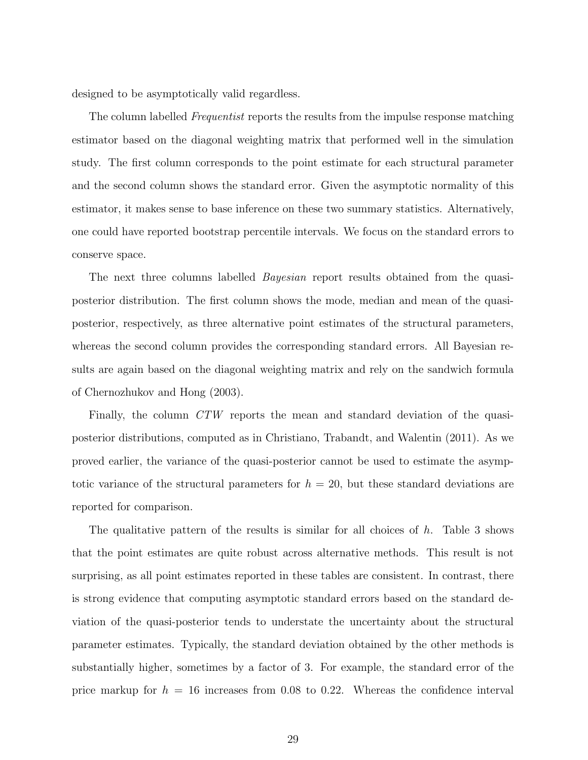designed to be asymptotically valid regardless.

The column labelled *Frequentist* reports the results from the impulse response matching estimator based on the diagonal weighting matrix that performed well in the simulation study. The first column corresponds to the point estimate for each structural parameter and the second column shows the standard error. Given the asymptotic normality of this estimator, it makes sense to base inference on these two summary statistics. Alternatively, one could have reported bootstrap percentile intervals. We focus on the standard errors to conserve space.

The next three columns labelled *Bayesian* report results obtained from the quasiposterior distribution. The first column shows the mode, median and mean of the quasiposterior, respectively, as three alternative point estimates of the structural parameters, whereas the second column provides the corresponding standard errors. All Bayesian results are again based on the diagonal weighting matrix and rely on the sandwich formula of Chernozhukov and Hong (2003).

Finally, the column CTW reports the mean and standard deviation of the quasiposterior distributions, computed as in Christiano, Trabandt, and Walentin (2011). As we proved earlier, the variance of the quasi-posterior cannot be used to estimate the asymptotic variance of the structural parameters for  $h = 20$ , but these standard deviations are reported for comparison.

The qualitative pattern of the results is similar for all choices of  $h$ . Table 3 shows that the point estimates are quite robust across alternative methods. This result is not surprising, as all point estimates reported in these tables are consistent. In contrast, there is strong evidence that computing asymptotic standard errors based on the standard deviation of the quasi-posterior tends to understate the uncertainty about the structural parameter estimates. Typically, the standard deviation obtained by the other methods is substantially higher, sometimes by a factor of 3. For example, the standard error of the price markup for  $h = 16$  increases from 0.08 to 0.22. Whereas the confidence interval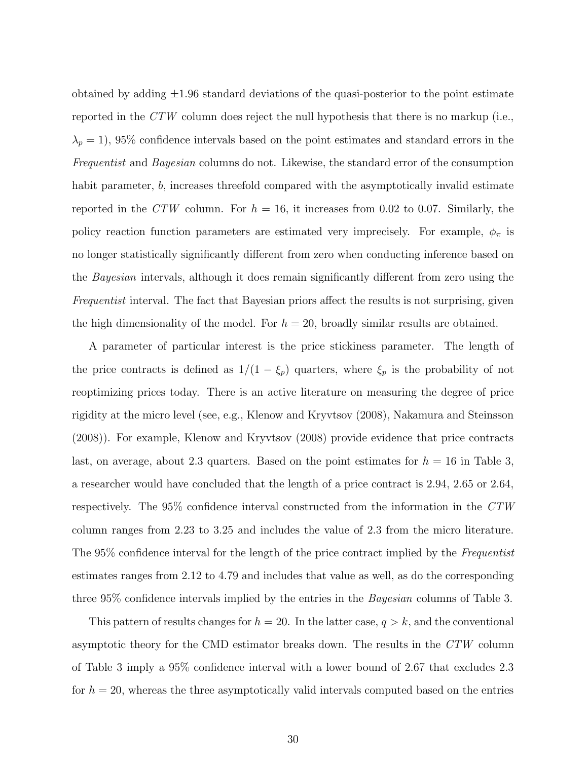obtained by adding  $\pm 1.96$  standard deviations of the quasi-posterior to the point estimate reported in the  $CTW$  column does reject the null hypothesis that there is no markup (i.e.,  $\lambda_p = 1$ , 95% confidence intervals based on the point estimates and standard errors in the Frequentist and Bayesian columns do not. Likewise, the standard error of the consumption habit parameter, b, increases threefold compared with the asymptotically invalid estimate reported in the CTW column. For  $h = 16$ , it increases from 0.02 to 0.07. Similarly, the policy reaction function parameters are estimated very imprecisely. For example,  $\phi_{\pi}$  is no longer statistically significantly different from zero when conducting inference based on the Bayesian intervals, although it does remain significantly different from zero using the Frequentist interval. The fact that Bayesian priors affect the results is not surprising, given the high dimensionality of the model. For  $h = 20$ , broadly similar results are obtained.

A parameter of particular interest is the price stickiness parameter. The length of the price contracts is defined as  $1/(1 - \xi_p)$  quarters, where  $\xi_p$  is the probability of not reoptimizing prices today. There is an active literature on measuring the degree of price rigidity at the micro level (see, e.g., Klenow and Kryvtsov (2008), Nakamura and Steinsson (2008)). For example, Klenow and Kryvtsov (2008) provide evidence that price contracts last, on average, about 2.3 quarters. Based on the point estimates for  $h = 16$  in Table 3, a researcher would have concluded that the length of a price contract is 2.94, 2.65 or 2.64, respectively. The 95% confidence interval constructed from the information in the CTW column ranges from 2.23 to 3.25 and includes the value of 2.3 from the micro literature. The 95% confidence interval for the length of the price contract implied by the Frequentist estimates ranges from 2.12 to 4.79 and includes that value as well, as do the corresponding three 95% confidence intervals implied by the entries in the *Bayesian* columns of Table 3.

This pattern of results changes for  $h = 20$ . In the latter case,  $q > k$ , and the conventional asymptotic theory for the CMD estimator breaks down. The results in the CTW column of Table 3 imply a 95% confidence interval with a lower bound of 2.67 that excludes 2.3 for  $h = 20$ , whereas the three asymptotically valid intervals computed based on the entries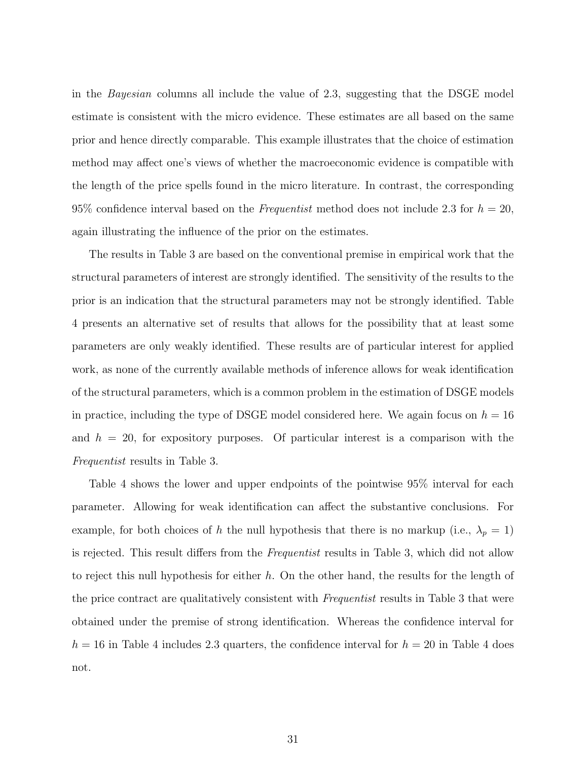in the Bayesian columns all include the value of 2.3, suggesting that the DSGE model estimate is consistent with the micro evidence. These estimates are all based on the same prior and hence directly comparable. This example illustrates that the choice of estimation method may affect one's views of whether the macroeconomic evidence is compatible with the length of the price spells found in the micro literature. In contrast, the corresponding 95% confidence interval based on the Frequentist method does not include 2.3 for  $h = 20$ , again illustrating the influence of the prior on the estimates.

The results in Table 3 are based on the conventional premise in empirical work that the structural parameters of interest are strongly identified. The sensitivity of the results to the prior is an indication that the structural parameters may not be strongly identified. Table 4 presents an alternative set of results that allows for the possibility that at least some parameters are only weakly identified. These results are of particular interest for applied work, as none of the currently available methods of inference allows for weak identification of the structural parameters, which is a common problem in the estimation of DSGE models in practice, including the type of DSGE model considered here. We again focus on  $h = 16$ and  $h = 20$ , for expository purposes. Of particular interest is a comparison with the Frequentist results in Table 3.

Table 4 shows the lower and upper endpoints of the pointwise 95% interval for each parameter. Allowing for weak identification can affect the substantive conclusions. For example, for both choices of h the null hypothesis that there is no markup (i.e.,  $\lambda_p = 1$ ) is rejected. This result differs from the *Frequentist* results in Table 3, which did not allow to reject this null hypothesis for either  $h$ . On the other hand, the results for the length of the price contract are qualitatively consistent with Frequentist results in Table 3 that were obtained under the premise of strong identification. Whereas the confidence interval for  $h = 16$  in Table 4 includes 2.3 quarters, the confidence interval for  $h = 20$  in Table 4 does not.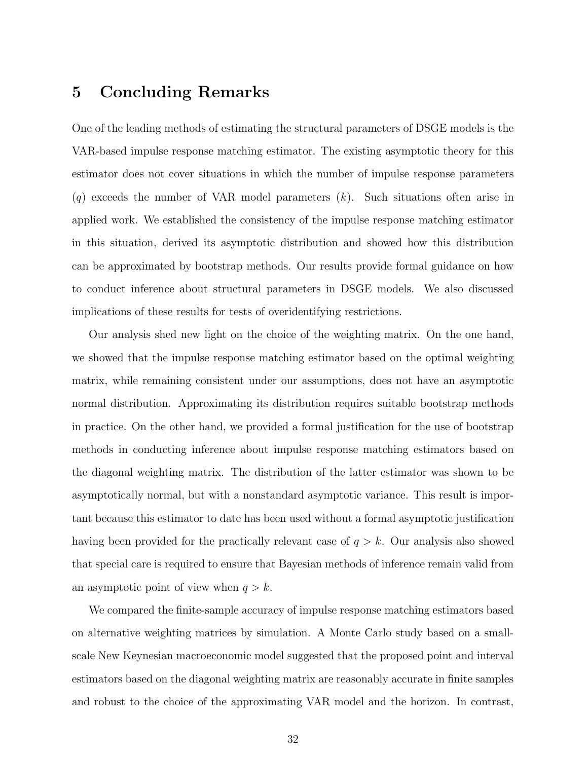### 5 Concluding Remarks

One of the leading methods of estimating the structural parameters of DSGE models is the VAR-based impulse response matching estimator. The existing asymptotic theory for this estimator does not cover situations in which the number of impulse response parameters  $(q)$  exceeds the number of VAR model parameters  $(k)$ . Such situations often arise in applied work. We established the consistency of the impulse response matching estimator in this situation, derived its asymptotic distribution and showed how this distribution can be approximated by bootstrap methods. Our results provide formal guidance on how to conduct inference about structural parameters in DSGE models. We also discussed implications of these results for tests of overidentifying restrictions.

Our analysis shed new light on the choice of the weighting matrix. On the one hand, we showed that the impulse response matching estimator based on the optimal weighting matrix, while remaining consistent under our assumptions, does not have an asymptotic normal distribution. Approximating its distribution requires suitable bootstrap methods in practice. On the other hand, we provided a formal justification for the use of bootstrap methods in conducting inference about impulse response matching estimators based on the diagonal weighting matrix. The distribution of the latter estimator was shown to be asymptotically normal, but with a nonstandard asymptotic variance. This result is important because this estimator to date has been used without a formal asymptotic justification having been provided for the practically relevant case of  $q > k$ . Our analysis also showed that special care is required to ensure that Bayesian methods of inference remain valid from an asymptotic point of view when  $q > k$ .

We compared the finite-sample accuracy of impulse response matching estimators based on alternative weighting matrices by simulation. A Monte Carlo study based on a smallscale New Keynesian macroeconomic model suggested that the proposed point and interval estimators based on the diagonal weighting matrix are reasonably accurate in finite samples and robust to the choice of the approximating VAR model and the horizon. In contrast,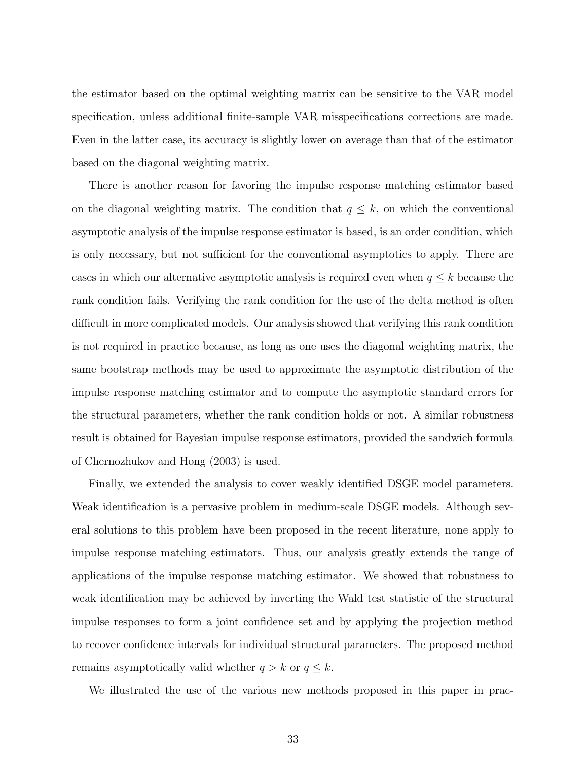the estimator based on the optimal weighting matrix can be sensitive to the VAR model specification, unless additional finite-sample VAR misspecifications corrections are made. Even in the latter case, its accuracy is slightly lower on average than that of the estimator based on the diagonal weighting matrix.

There is another reason for favoring the impulse response matching estimator based on the diagonal weighting matrix. The condition that  $q \leq k$ , on which the conventional asymptotic analysis of the impulse response estimator is based, is an order condition, which is only necessary, but not sufficient for the conventional asymptotics to apply. There are cases in which our alternative asymptotic analysis is required even when  $q \leq k$  because the rank condition fails. Verifying the rank condition for the use of the delta method is often difficult in more complicated models. Our analysis showed that verifying this rank condition is not required in practice because, as long as one uses the diagonal weighting matrix, the same bootstrap methods may be used to approximate the asymptotic distribution of the impulse response matching estimator and to compute the asymptotic standard errors for the structural parameters, whether the rank condition holds or not. A similar robustness result is obtained for Bayesian impulse response estimators, provided the sandwich formula of Chernozhukov and Hong (2003) is used.

Finally, we extended the analysis to cover weakly identified DSGE model parameters. Weak identification is a pervasive problem in medium-scale DSGE models. Although several solutions to this problem have been proposed in the recent literature, none apply to impulse response matching estimators. Thus, our analysis greatly extends the range of applications of the impulse response matching estimator. We showed that robustness to weak identification may be achieved by inverting the Wald test statistic of the structural impulse responses to form a joint confidence set and by applying the projection method to recover confidence intervals for individual structural parameters. The proposed method remains asymptotically valid whether  $q > k$  or  $q \leq k$ .

We illustrated the use of the various new methods proposed in this paper in prac-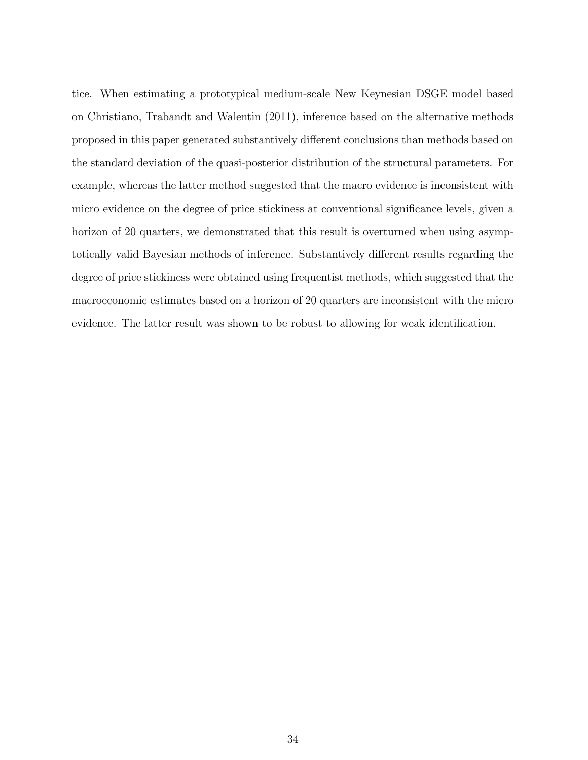tice. When estimating a prototypical medium-scale New Keynesian DSGE model based on Christiano, Trabandt and Walentin (2011), inference based on the alternative methods proposed in this paper generated substantively different conclusions than methods based on the standard deviation of the quasi-posterior distribution of the structural parameters. For example, whereas the latter method suggested that the macro evidence is inconsistent with micro evidence on the degree of price stickiness at conventional significance levels, given a horizon of 20 quarters, we demonstrated that this result is overturned when using asymptotically valid Bayesian methods of inference. Substantively different results regarding the degree of price stickiness were obtained using frequentist methods, which suggested that the macroeconomic estimates based on a horizon of 20 quarters are inconsistent with the micro evidence. The latter result was shown to be robust to allowing for weak identification.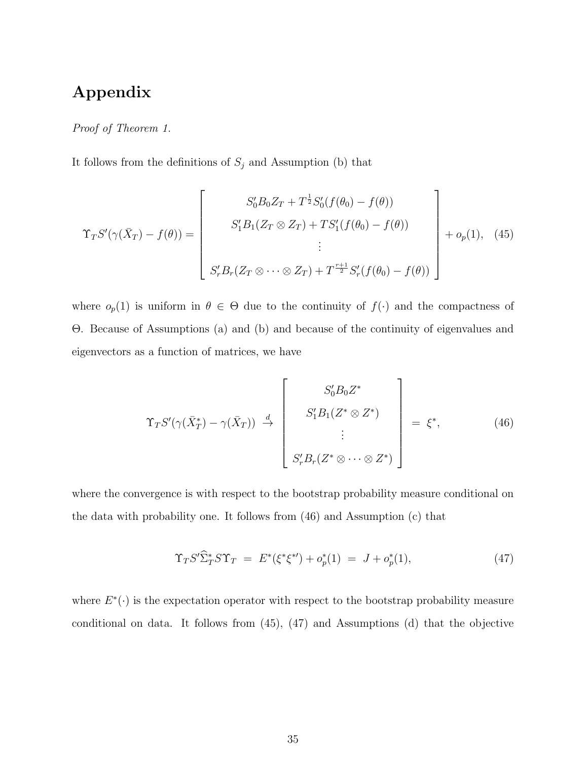## Appendix

Proof of Theorem 1.

It follows from the definitions of  $S_j$  and Assumption (b) that

$$
\Upsilon_T S'(\gamma(\bar{X}_T) - f(\theta)) = \begin{bmatrix} S'_0 B_0 Z_T + T^{\frac{1}{2}} S'_0(f(\theta_0) - f(\theta)) \\ S'_1 B_1(Z_T \otimes Z_T) + T S'_1(f(\theta_0) - f(\theta)) \\ \vdots \\ S'_r B_r(Z_T \otimes \cdots \otimes Z_T) + T^{\frac{r+1}{2}} S'_r(f(\theta_0) - f(\theta)) \end{bmatrix} + o_p(1), \quad (45)
$$

where  $o_p(1)$  is uniform in  $\theta \in \Theta$  due to the continuity of  $f(\cdot)$  and the compactness of Θ. Because of Assumptions (a) and (b) and because of the continuity of eigenvalues and eigenvectors as a function of matrices, we have

$$
\Upsilon_T S'(\gamma(\bar{X}_T^*) - \gamma(\bar{X}_T)) \stackrel{d}{\rightarrow} \begin{bmatrix} S'_0 B_0 Z^* \\ S'_1 B_1 (Z^* \otimes Z^*) \\ \vdots \\ S'_r B_r (Z^* \otimes \cdots \otimes Z^*) \end{bmatrix} = \xi^*, \qquad (46)
$$

where the convergence is with respect to the bootstrap probability measure conditional on the data with probability one. It follows from (46) and Assumption (c) that

$$
\Upsilon_T S' \hat{\Sigma}_T^* S \Upsilon_T = E^* (\xi^* \xi^*) + o_p^* (1) = J + o_p^* (1), \tag{47}
$$

where  $E^*(\cdot)$  is the expectation operator with respect to the bootstrap probability measure conditional on data. It follows from (45), (47) and Assumptions (d) that the objective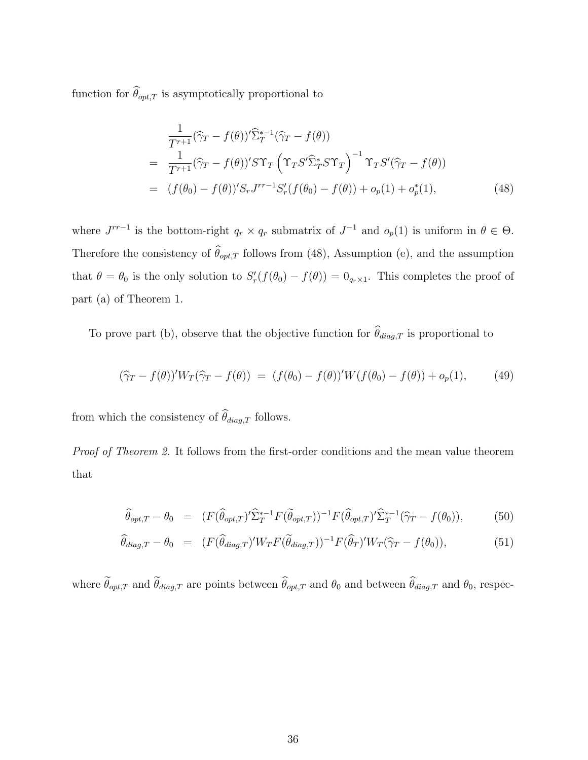function for  $\theta_{opt,T}$  is asymptotically proportional to

$$
\frac{1}{T^{r+1}}(\widehat{\gamma}_T - f(\theta))^{\prime} \widehat{\Sigma}_T^{*-1}(\widehat{\gamma}_T - f(\theta))
$$
\n
$$
= \frac{1}{T^{r+1}}(\widehat{\gamma}_T - f(\theta))^{\prime} S \Upsilon_T \left( \Upsilon_T S^{\prime} \widehat{\Sigma}_T^* S \Upsilon_T \right)^{-1} \Upsilon_T S^{\prime}(\widehat{\gamma}_T - f(\theta))
$$
\n
$$
= (f(\theta_0) - f(\theta))^{\prime} S_r J^{rr-1} S_r^{\prime} (f(\theta_0) - f(\theta)) + o_p(1) + o_p^*(1), \tag{48}
$$

where  $J^{rr-1}$  is the bottom-right  $q_r \times q_r$  submatrix of  $J^{-1}$  and  $o_p(1)$  is uniform in  $\theta \in \Theta$ . Therefore the consistency of  $\theta_{opt,T}$  follows from (48), Assumption (e), and the assumption that  $\theta = \theta_0$  is the only solution to  $S'_r(f(\theta_0) - f(\theta)) = 0_{q_r \times 1}$ . This completes the proof of part (a) of Theorem 1.

To prove part (b), observe that the objective function for  $\theta_{diag,T}$  is proportional to

$$
(\hat{\gamma}_T - f(\theta))' W_T(\hat{\gamma}_T - f(\theta)) = (f(\theta_0) - f(\theta))' W(f(\theta_0) - f(\theta)) + o_p(1), \quad (49)
$$

from which the consistency of  $\theta_{diag,T}$  follows.

Proof of Theorem 2. It follows from the first-order conditions and the mean value theorem that

$$
\widehat{\theta}_{opt,T} - \theta_0 = (F(\widehat{\theta}_{opt,T})' \widehat{\Sigma}_T^{*-1} F(\widetilde{\theta}_{opt,T}))^{-1} F(\widehat{\theta}_{opt,T})' \widehat{\Sigma}_T^{*-1} (\widehat{\gamma}_T - f(\theta_0)),
$$
(50)

$$
\widehat{\theta}_{diag,T} - \theta_0 = (F(\widehat{\theta}_{diag,T})' W_T F(\widetilde{\theta}_{diag,T}))^{-1} F(\widehat{\theta}_T)' W_T(\widehat{\gamma}_T - f(\theta_0)), \tag{51}
$$

where  $\theta_{opt,T}$  and  $\theta_{diag,T}$  are points between  $\theta_{opt,T}$  and  $\theta_0$  and between  $\theta_{diag,T}$  and  $\theta_0$ , respec-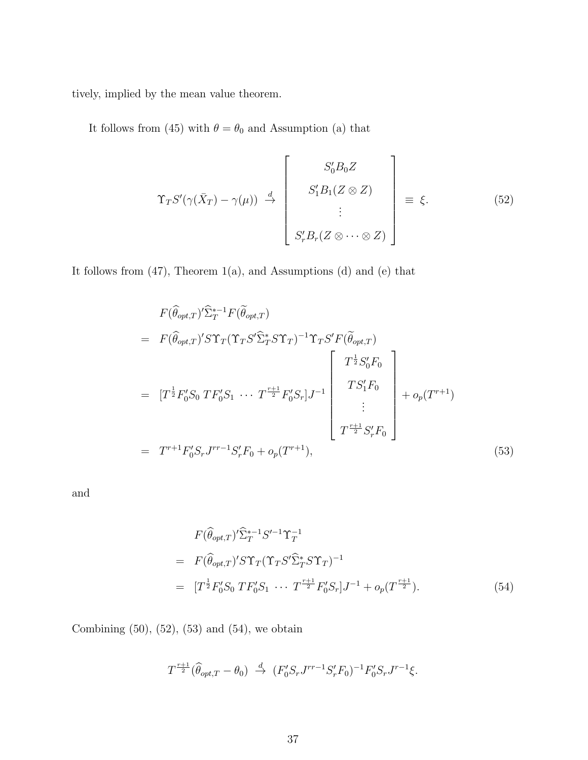tively, implied by the mean value theorem.

It follows from (45) with  $\theta=\theta_0$  and Assumption (a) that

$$
\Upsilon_T S'(\gamma(\bar{X}_T) - \gamma(\mu)) \stackrel{d}{\rightarrow} \begin{bmatrix} S'_0 B_0 Z \\ S'_1 B_1 (Z \otimes Z) \\ \vdots \\ S'_r B_r (Z \otimes \cdots \otimes Z) \end{bmatrix} \equiv \xi.
$$
 (52)

It follows from (47), Theorem 1(a), and Assumptions (d) and (e) that

$$
F(\widehat{\theta}_{opt,T})' \widehat{\Sigma}_T^{*-1} F(\widetilde{\theta}_{opt,T})
$$
\n
$$
= F(\widehat{\theta}_{opt,T})' S \Upsilon_T (\Upsilon_T S' \widehat{\Sigma}_T^* S \Upsilon_T)^{-1} \Upsilon_T S' F(\widetilde{\theta}_{opt,T})
$$
\n
$$
= [T^{\frac{1}{2}} F_0' S_0 T F_0' S_1 \cdots T^{\frac{r+1}{2}} F_0' S_r] J^{-1} \begin{bmatrix} T^{\frac{1}{2}} S_0' F_0 \\ T S_1' F_0 \\ \vdots \\ T^{\frac{r+1}{2}} S_r' F_0 \end{bmatrix} + o_p(T^{r+1})
$$
\n
$$
= T^{r+1} F_0' S_r J^{rr-1} S_r' F_0 + o_p(T^{r+1}), \qquad (53)
$$

and

$$
F(\widehat{\theta}_{opt,T})' \widehat{\Sigma}_T^{*-1} S'^{-1} \Upsilon_T^{-1}
$$
  
=  $F(\widehat{\theta}_{opt,T})' S \Upsilon_T (\Upsilon_T S' \widehat{\Sigma}_T^* S \Upsilon_T)^{-1}$   
=  $[T^{\frac{1}{2}} F'_0 S_0 T F'_0 S_1 \cdots T^{\frac{r+1}{2}} F'_0 S_r] J^{-1} + o_p(T^{\frac{r+1}{2}}).$  (54)

Combining  $(50)$ ,  $(52)$ ,  $(53)$  and  $(54)$ , we obtain

$$
T^{\frac{r+1}{2}}(\widehat{\theta}_{opt,T} - \theta_0) \stackrel{d}{\to} (F_0'S_r J^{rr-1}S_r' F_0)^{-1} F_0'S_r J^{r-1}\xi.
$$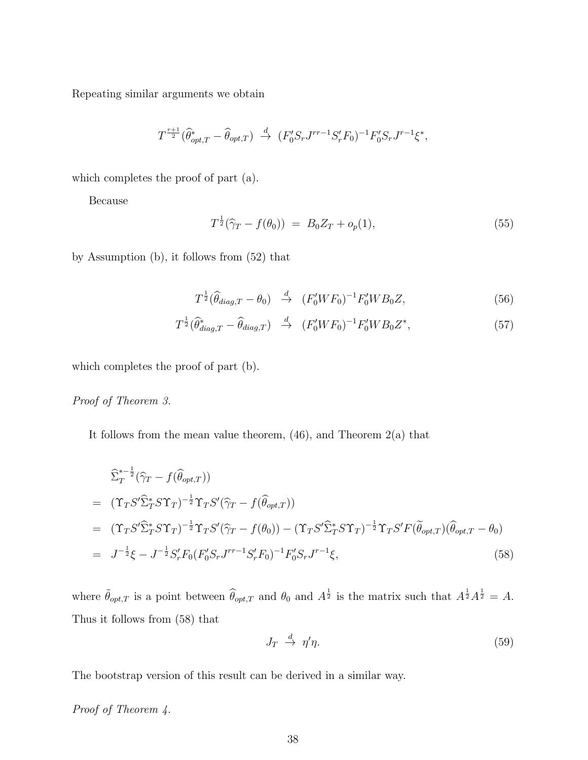Repeating similar arguments we obtain

$$
T^{\frac{r+1}{2}}(\widehat{\theta}_{opt,T}^* - \widehat{\theta}_{opt,T}) \stackrel{d}{\to} (F_0'S_r J^{rr-1}S_r' F_0)^{-1} F_0'S_r J^{r-1} \xi^*,
$$

which completes the proof of part (a).

Because

$$
T^{\frac{1}{2}}(\hat{\gamma}_T - f(\theta_0)) = B_0 Z_T + o_p(1), \qquad (55)
$$

by Assumption (b), it follows from (52) that

$$
T^{\frac{1}{2}}(\widehat{\theta}_{diag,T} - \theta_0) \stackrel{d}{\rightarrow} (F_0'WF_0)^{-1}F_0'WB_0Z,
$$
\n
$$
(56)
$$

$$
T^{\frac{1}{2}}(\widehat{\theta}_{diag,T}^* - \widehat{\theta}_{diag,T}) \stackrel{d}{\rightarrow} (F_0'WF_0)^{-1}F_0'WB_0Z^*,\tag{57}
$$

which completes the proof of part (b).

Proof of Theorem 3.

It follows from the mean value theorem,  $(46)$ , and Theorem  $2(a)$  that

$$
\begin{split}\n&\hat{\Sigma}_{T}^{*-{\frac{1}{2}}}(\hat{\gamma}_{T}-f(\hat{\theta}_{opt,T})) \\
&= (\Upsilon_{T}S'\hat{\Sigma}_{T}^{*}S\Upsilon_{T})^{-{\frac{1}{2}}}\Upsilon_{T}S'(\hat{\gamma}_{T}-f(\hat{\theta}_{opt,T})) \\
&= (\Upsilon_{T}S'\hat{\Sigma}_{T}^{*}S\Upsilon_{T})^{-{\frac{1}{2}}}\Upsilon_{T}S'(\hat{\gamma}_{T}-f(\theta_{0})) - (\Upsilon_{T}S'\hat{\Sigma}_{T}^{*}S\Upsilon_{T})^{-{\frac{1}{2}}}\Upsilon_{T}S'F(\tilde{\theta}_{opt,T})(\hat{\theta}_{opt,T}-\theta_{0}) \\
&= J^{-{\frac{1}{2}}}\xi - J^{-{\frac{1}{2}}}S'_{r}F_{0}(F'_{0}S_{r}J^{rr-1}S'_{r}F_{0})^{-1}F'_{0}S_{r}J^{r-1}\xi,\n\end{split} \tag{58}
$$

where  $\tilde{\theta}_{opt,T}$  is a point between  $\hat{\theta}_{opt,T}$  and  $\theta_0$  and  $A^{\frac{1}{2}}$  is the matrix such that  $A^{\frac{1}{2}}A^{\frac{1}{2}} = A$ . Thus it follows from (58) that

$$
J_T \stackrel{d}{\to} \eta' \eta. \tag{59}
$$

The bootstrap version of this result can be derived in a similar way.

Proof of Theorem 4.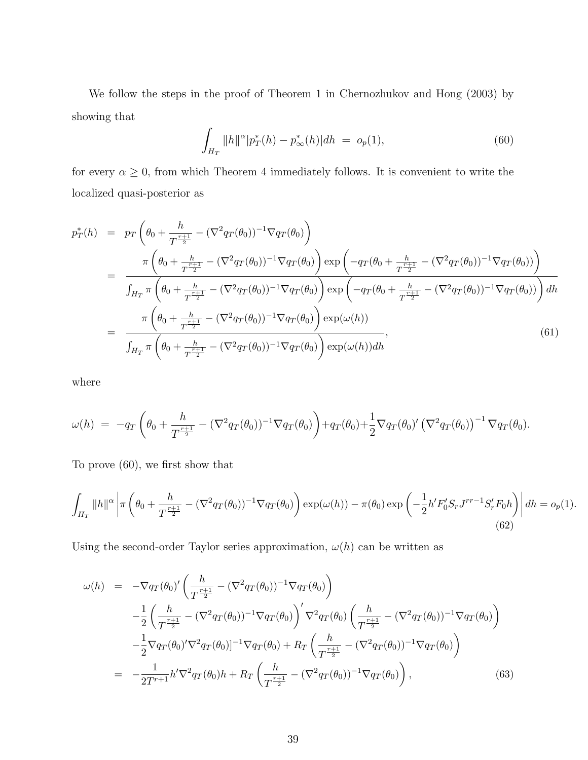We follow the steps in the proof of Theorem 1 in Chernozhukov and Hong (2003) by showing that

$$
\int_{H_T} ||h||^{\alpha} |p_T^*(h) - p_\infty^*(h)| dh = o_p(1), \tag{60}
$$

for every  $\alpha \geq 0$ , from which Theorem 4 immediately follows. It is convenient to write the localized quasi-posterior as

$$
p_T^*(h) = p_T \left(\theta_0 + \frac{h}{T^{\frac{r+1}{2}}} - (\nabla^2 q_T(\theta_0))^{-1} \nabla q_T(\theta_0)\right)
$$
  
\n
$$
= \frac{\pi \left(\theta_0 + \frac{h}{T^{\frac{r+1}{2}}} - (\nabla^2 q_T(\theta_0))^{-1} \nabla q_T(\theta_0)\right) \exp\left(-q_T(\theta_0 + \frac{h}{T^{\frac{r+1}{2}}} - (\nabla^2 q_T(\theta_0))^{-1} \nabla q_T(\theta_0))\right)}{\int_{H_T} \pi \left(\theta_0 + \frac{h}{T^{\frac{r+1}{2}}} - (\nabla^2 q_T(\theta_0))^{-1} \nabla q_T(\theta_0)\right) \exp\left(-q_T(\theta_0 + \frac{h}{T^{\frac{r+1}{2}}} - (\nabla^2 q_T(\theta_0))^{-1} \nabla q_T(\theta_0))\right) dh}
$$
  
\n
$$
= \frac{\pi \left(\theta_0 + \frac{h}{T^{\frac{r+1}{2}}} - (\nabla^2 q_T(\theta_0))^{-1} \nabla q_T(\theta_0)\right) \exp(\omega(h))}{\int_{H_T} \pi \left(\theta_0 + \frac{h}{T^{\frac{r+1}{2}}} - (\nabla^2 q_T(\theta_0))^{-1} \nabla q_T(\theta_0)\right) \exp(\omega(h)) dh}, \qquad (61)
$$

where

$$
\omega(h) = -q_T \left( \theta_0 + \frac{h}{T^{\frac{r+1}{2}}} - (\nabla^2 q_T(\theta_0))^{-1} \nabla q_T(\theta_0) \right) + q_T(\theta_0) + \frac{1}{2} \nabla q_T(\theta_0)' (\nabla^2 q_T(\theta_0))^{-1} \nabla q_T(\theta_0).
$$

To prove (60), we first show that

$$
\int_{H_T} \|h\|^{\alpha} \left| \pi \left( \theta_0 + \frac{h}{T^{\frac{r+1}{2}}} - (\nabla^2 q_T(\theta_0))^{-1} \nabla q_T(\theta_0) \right) \exp(\omega(h)) - \pi(\theta_0) \exp\left( -\frac{1}{2} h' F_0' S_r J^{rr-1} S_r' F_0 h \right) \right| dh = o_p(1).
$$
\n(62)

Using the second-order Taylor series approximation,  $\omega(h)$  can be written as

$$
\omega(h) = -\nabla q_T(\theta_0)' \left( \frac{h}{T^{\frac{r+1}{2}}} - (\nabla^2 q_T(\theta_0))^{-1} \nabla q_T(\theta_0) \right)
$$
  
\n
$$
- \frac{1}{2} \left( \frac{h}{T^{\frac{r+1}{2}}} - (\nabla^2 q_T(\theta_0))^{-1} \nabla q_T(\theta_0) \right)' \nabla^2 q_T(\theta_0) \left( \frac{h}{T^{\frac{r+1}{2}}} - (\nabla^2 q_T(\theta_0))^{-1} \nabla q_T(\theta_0) \right)
$$
  
\n
$$
- \frac{1}{2} \nabla q_T(\theta_0)' \nabla^2 q_T(\theta_0) ]^{-1} \nabla q_T(\theta_0) + R_T \left( \frac{h}{T^{\frac{r+1}{2}}} - (\nabla^2 q_T(\theta_0))^{-1} \nabla q_T(\theta_0) \right)
$$
  
\n
$$
= - \frac{1}{2T^{r+1}} h' \nabla^2 q_T(\theta_0) h + R_T \left( \frac{h}{T^{\frac{r+1}{2}}} - (\nabla^2 q_T(\theta_0))^{-1} \nabla q_T(\theta_0) \right), \tag{63}
$$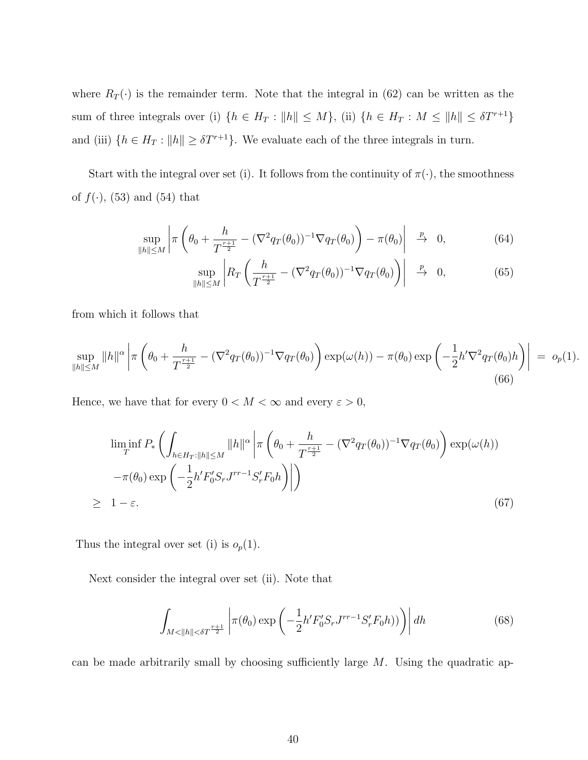where  $R_T(\cdot)$  is the remainder term. Note that the integral in (62) can be written as the sum of three integrals over (i)  $\{h \in H_T : ||h|| \leq M\}$ , (ii)  $\{h \in H_T : M \leq ||h|| \leq \delta T^{r+1}\}$ and (iii)  $\{h \in H_T : ||h|| \geq \delta T^{r+1}\}$ . We evaluate each of the three integrals in turn.

Start with the integral over set (i). It follows from the continuity of  $\pi(\cdot)$ , the smoothness of  $f(\cdot)$ , (53) and (54) that

$$
\sup_{\|h\| \le M} \left| \pi \left( \theta_0 + \frac{h}{T^{\frac{r+1}{2}}} - (\nabla^2 q_T(\theta_0))^{-1} \nabla q_T(\theta_0) \right) - \pi(\theta_0) \right| \stackrel{p}{\to} 0, \tag{64}
$$

$$
\sup_{\|h\| \le M} \left| R_T \left( \frac{h}{T^{\frac{r+1}{2}}} - (\nabla^2 q_T(\theta_0))^{-1} \nabla q_T(\theta_0) \right) \right| \stackrel{p}{\to} 0, \tag{65}
$$

from which it follows that

$$
\sup_{\|h\| \le M} \|h\|^{\alpha} \left| \pi \left( \theta_0 + \frac{h}{T^{\frac{r+1}{2}}} - (\nabla^2 q_T(\theta_0))^{-1} \nabla q_T(\theta_0) \right) \exp(\omega(h)) - \pi(\theta_0) \exp\left( -\frac{1}{2} h' \nabla^2 q_T(\theta_0) h \right) \right| \ = \ o_p(1).
$$
\n(66)

Hence, we have that for every  $0 < M < \infty$  and every  $\varepsilon > 0,$ 

$$
\liminf_{T} P_* \left( \int_{h \in H_T : \|h\| \le M} \|h\|^\alpha \left| \pi \left( \theta_0 + \frac{h}{T^{\frac{r+1}{2}}} - (\nabla^2 q_T(\theta_0))^{-1} \nabla q_T(\theta_0) \right) \exp(\omega(h)) \right. \\ \left. - \pi(\theta_0) \exp\left( -\frac{1}{2} h' F'_0 S_r J^{rr-1} S'_r F_0 h \right) \right| \right) \\ \ge 1 - \varepsilon. \tag{67}
$$

Thus the integral over set (i) is  $o_p(1)$ .

Next consider the integral over set (ii). Note that

$$
\int_{M < \|h\| < \delta T^{\frac{r+1}{2}}} \left| \pi(\theta_0) \exp\left(-\frac{1}{2} h' F_0' S_r J^{rr-1} S_r' F_0 h)\right) \right| dh \tag{68}
$$

can be made arbitrarily small by choosing sufficiently large  $M$ . Using the quadratic ap-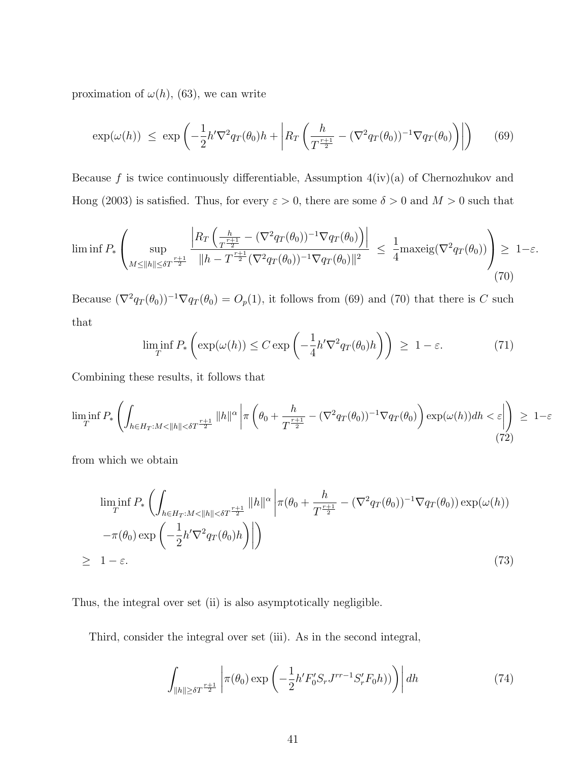proximation of  $\omega(h)$ , (63), we can write

$$
\exp(\omega(h)) \le \exp\left(-\frac{1}{2}h'\nabla^2 q_T(\theta_0)h + \left|R_T\left(\frac{h}{T^{\frac{r+1}{2}}} - (\nabla^2 q_T(\theta_0))^{-1}\nabla q_T(\theta_0)\right)\right|\right) \tag{69}
$$

Because f is twice continuously differentiable, Assumption  $4(iv)(a)$  of Chernozhukov and Hong (2003) is satisfied. Thus, for every  $\varepsilon > 0$ , there are some  $\delta > 0$  and  $M > 0$  such that

$$
\liminf P_*\left(\sup_{M\leq \|h\|\leq \delta T^{\frac{r+1}{2}}} \frac{\left|R_T\left(\frac{h}{T^{\frac{r+1}{2}}}- (\nabla^2 q_T(\theta_0))^{-1}\nabla q_T(\theta_0)\right)\right|}{\|h-T^{\frac{r+1}{2}}(\nabla^2 q_T(\theta_0))^{-1}\nabla q_T(\theta_0)\|^2} \leq \frac{1}{4} \text{maxeig}(\nabla^2 q_T(\theta_0))\right) \geq 1-\varepsilon. \tag{70}
$$

Because  $(\nabla^2 q_T(\theta_0))^{-1} \nabla q_T(\theta_0) = O_p(1)$ , it follows from (69) and (70) that there is C such that

$$
\liminf_{T} P_* \left( \exp(\omega(h)) \le C \exp\left( -\frac{1}{4} h' \nabla^2 q_T(\theta_0) h \right) \right) \ge 1 - \varepsilon. \tag{71}
$$

Combining these results, it follows that

$$
\liminf_{T} P_*\left(\int_{h\in H_T:M<\|h\|<\delta T^{\frac{r+1}{2}}}\|h\|^{\alpha}\left|\pi\left(\theta_0+\frac{h}{T^{\frac{r+1}{2}}}-\left(\nabla^2 q_T(\theta_0)\right)^{-1}\nabla q_T(\theta_0)\right)\exp(\omega(h))dh<\varepsilon\right|\right) \geq 1-\varepsilon
$$
\n(72)

from which we obtain

$$
\liminf_{T} P_* \left( \int_{h \in H_T : M < \|h\| < \delta T^{\frac{r+1}{2}}} \|h\|^{\alpha} \left| \pi(\theta_0 + \frac{h}{T^{\frac{r+1}{2}}} - (\nabla^2 q_T(\theta_0))^{-1} \nabla q_T(\theta_0)) \exp(\omega(h)) \right. \\ \left. - \pi(\theta_0) \exp\left( -\frac{1}{2} h' \nabla^2 q_T(\theta_0) h \right) \right| \right) \tag{73}
$$

Thus, the integral over set (ii) is also asymptotically negligible.

Third, consider the integral over set (iii). As in the second integral,

$$
\int_{\|h\| \ge \delta T^{\frac{r+1}{2}}} \left| \pi(\theta_0) \exp\left(-\frac{1}{2} h' F_0' S_r J^{rr-1} S_r' F_0 h)\right) \right| dh \tag{74}
$$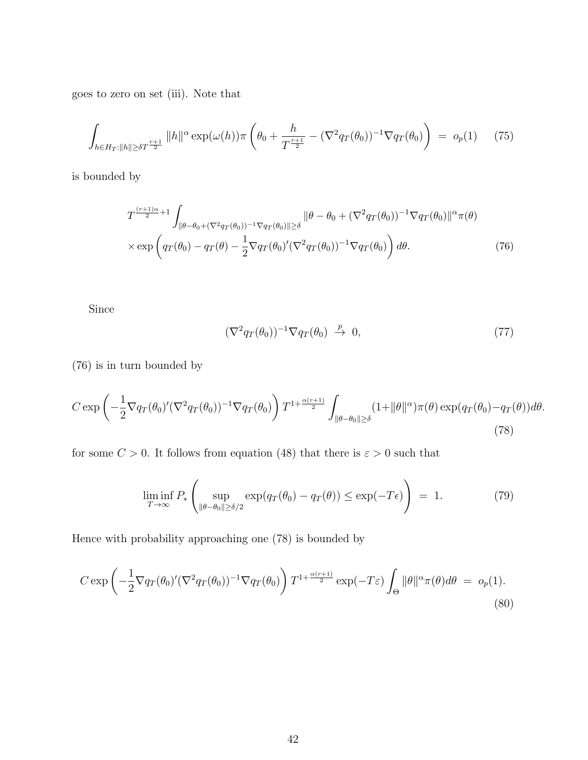goes to zero on set (iii). Note that

$$
\int_{h \in H_T: ||h|| \geq \delta T^{\frac{r+1}{2}}} ||h||^{\alpha} \exp(\omega(h)) \pi \left(\theta_0 + \frac{h}{T^{\frac{r+1}{2}}} - (\nabla^2 q_T(\theta_0))^{-1} \nabla q_T(\theta_0)\right) = o_p(1) \tag{75}
$$

is bounded by

$$
T^{\frac{(r+1)\alpha}{2}+1} \int_{\|\theta-\theta_0+(\nabla^2 q_T(\theta_0))^{-1} \nabla q_T(\theta_0)\| \ge \delta} \|\theta-\theta_0+(\nabla^2 q_T(\theta_0))^{-1} \nabla q_T(\theta_0)\|^{\alpha} \pi(\theta) \times \exp\left(q_T(\theta_0) - q_T(\theta) - \frac{1}{2} \nabla q_T(\theta_0)'(\nabla^2 q_T(\theta_0))^{-1} \nabla q_T(\theta_0)\right) d\theta.
$$
\n(76)

Since

$$
(\nabla^2 q_T(\theta_0))^{-1} \nabla q_T(\theta_0) \stackrel{p}{\to} 0, \tag{77}
$$

(76) is in turn bounded by

$$
C \exp\left(-\frac{1}{2}\nabla q_T(\theta_0)'(\nabla^2 q_T(\theta_0))^{-1}\nabla q_T(\theta_0)\right)T^{1+\frac{\alpha(r+1)}{2}}\int_{\|\theta-\theta_0\|\geq \delta} (1+\|\theta\|^{\alpha})\pi(\theta)\exp(q_T(\theta_0)-q_T(\theta))d\theta. \tag{78}
$$

for some  $C > 0$ . It follows from equation (48) that there is  $\varepsilon > 0$  such that

$$
\liminf_{T \to \infty} P_* \left( \sup_{\|\theta - \theta_0\| \ge \delta/2} \exp(q_T(\theta_0) - q_T(\theta)) \le \exp(-T\epsilon) \right) = 1.
$$
 (79)

Hence with probability approaching one (78) is bounded by

$$
C \exp\left(-\frac{1}{2}\nabla q_T(\theta_0)'(\nabla^2 q_T(\theta_0))^{-1}\nabla q_T(\theta_0)\right)T^{1+\frac{\alpha(r+1)}{2}}\exp(-T\varepsilon)\int_{\Theta} \|\theta\|^\alpha \pi(\theta)d\theta = o_p(1).
$$
\n(80)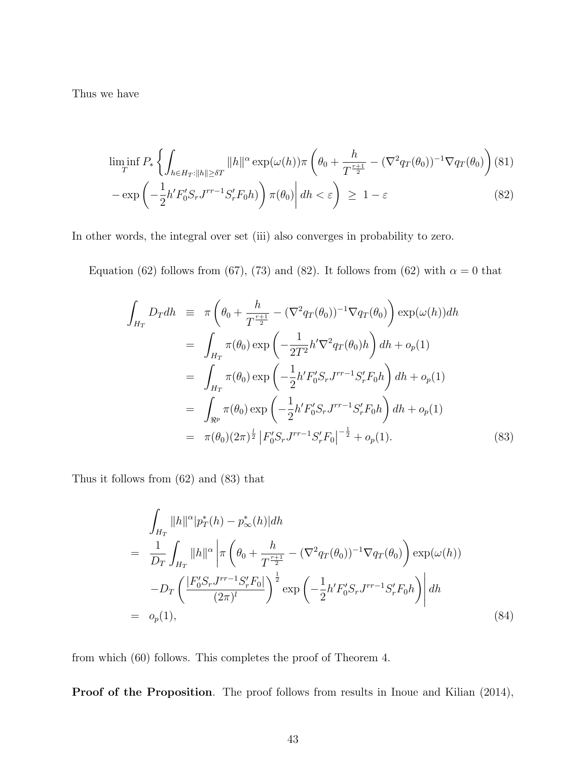Thus we have

$$
\liminf_{T} P_* \left\{ \int_{h \in H_T: \|h\| \ge \delta T} \|h\|^\alpha \exp(\omega(h)) \pi \left( \theta_0 + \frac{h}{T^{\frac{r+1}{2}}} - (\nabla^2 q_T(\theta_0))^{-1} \nabla q_T(\theta_0) \right) (81) - \exp\left( -\frac{1}{2} h' F_0' S_r J^{rr-1} S_r' F_0 h \right) \right\} \pi(\theta_0) \middle| dh < \varepsilon \right\} \ge 1 - \varepsilon \tag{82}
$$

In other words, the integral over set (iii) also converges in probability to zero.

Equation (62) follows from (67), (73) and (82). It follows from (62) with  $\alpha = 0$  that

$$
\int_{H_T} D_T dh = \pi \left( \theta_0 + \frac{h}{T^{\frac{r+1}{2}}} - (\nabla^2 q_T(\theta_0))^{-1} \nabla q_T(\theta_0) \right) \exp(\omega(h)) dh
$$
\n
$$
= \int_{H_T} \pi(\theta_0) \exp\left( -\frac{1}{2T^2} h' \nabla^2 q_T(\theta_0) h \right) dh + o_p(1)
$$
\n
$$
= \int_{H_T} \pi(\theta_0) \exp\left( -\frac{1}{2} h' F'_0 S_r J^{rr-1} S'_r F_0 h \right) dh + o_p(1)
$$
\n
$$
= \int_{\Re^p} \pi(\theta_0) \exp\left( -\frac{1}{2} h' F'_0 S_r J^{rr-1} S'_r F_0 h \right) dh + o_p(1)
$$
\n
$$
= \pi(\theta_0) (2\pi)^{\frac{1}{2}} \left| F'_0 S_r J^{rr-1} S'_r F_0 \right|^{-\frac{1}{2}} + o_p(1). \tag{83}
$$

Thus it follows from (62) and (83) that

$$
\int_{H_T} ||h||^{\alpha} |p_T^*(h) - p_{\infty}^*(h)| dh
$$
\n
$$
= \frac{1}{D_T} \int_{H_T} ||h||^{\alpha} \left| \pi \left( \theta_0 + \frac{h}{T^{\frac{r+1}{2}}} - (\nabla^2 q_T(\theta_0))^{-1} \nabla q_T(\theta_0) \right) \exp(\omega(h)) \right.
$$
\n
$$
-D_T \left( \frac{|F_0'S_r J^{rr-1} S_r' F_0|}{(2\pi)^l} \right)^{\frac{1}{2}} \exp\left( -\frac{1}{2} h' F_0'S_r J^{rr-1} S_r' F_0 h \right) \left| dh \right.
$$
\n
$$
= o_p(1), \tag{84}
$$

from which (60) follows. This completes the proof of Theorem 4.

Proof of the Proposition. The proof follows from results in Inoue and Kilian (2014),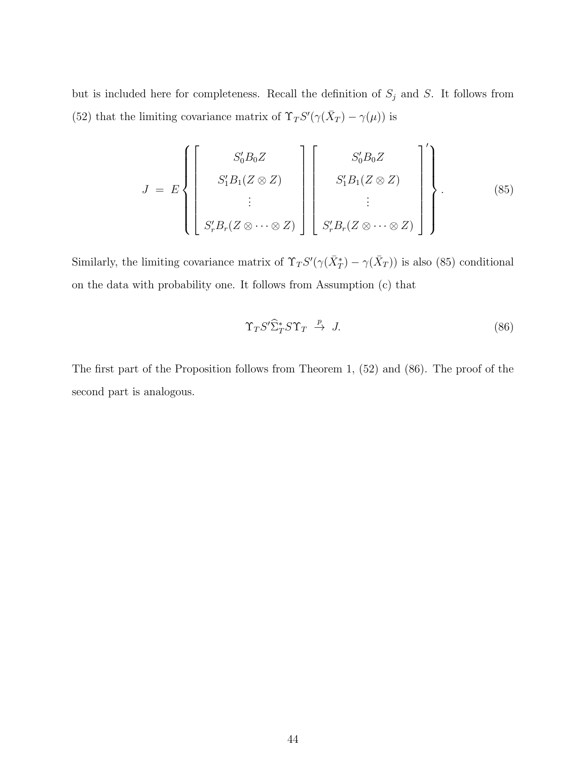but is included here for completeness. Recall the definition of  $S_j$  and S. It follows from (52) that the limiting covariance matrix of  $\Upsilon$ <sub>T</sub>S'( $\gamma(\bar{X}_T) - \gamma(\mu)$ ) is

$$
J = E\left\{ \left[\begin{array}{c} S_0'B_0Z \\ S_1'B_1(Z \otimes Z) \\ \vdots \\ S_r'B_r(Z \otimes \cdots \otimes Z) \end{array}\right] \left[\begin{array}{c} S_0'B_0Z \\ S_1'B_1(Z \otimes Z) \\ \vdots \\ S_r'B_r(Z \otimes \cdots \otimes Z) \end{array}\right] \right\}.
$$
 (85)

Similarly, the limiting covariance matrix of  $\Upsilon_T S'(\gamma(\bar{X}_T^*) - \gamma(\bar{X}_T))$  is also (85) conditional on the data with probability one. It follows from Assumption (c) that

$$
\Upsilon_T S' \hat{\Sigma}_T^* S \Upsilon_T \xrightarrow{p} J. \tag{86}
$$

The first part of the Proposition follows from Theorem 1, (52) and (86). The proof of the second part is analogous.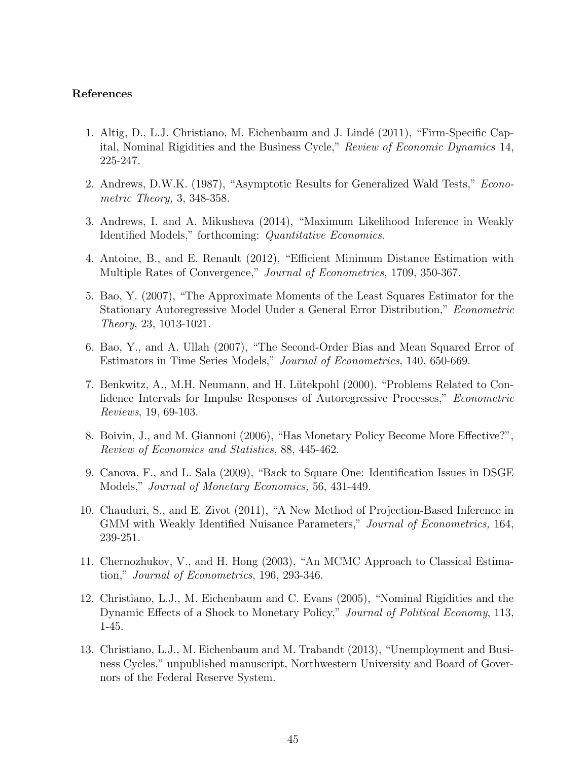#### References

- 1. Altig, D., L.J. Christiano, M. Eichenbaum and J. Lindé (2011), "Firm-Specific Capital, Nominal Rigidities and the Business Cycle," Review of Economic Dynamics 14, 225-247.
- 2. Andrews, D.W.K. (1987), "Asymptotic Results for Generalized Wald Tests," Econometric Theory, 3, 348-358.
- 3. Andrews, I. and A. Mikusheva (2014), "Maximum Likelihood Inference in Weakly Identified Models," forthcoming: Quantitative Economics.
- 4. Antoine, B., and E. Renault (2012), "Efficient Minimum Distance Estimation with Multiple Rates of Convergence," Journal of Econometrics, 1709, 350-367.
- 5. Bao, Y. (2007), "The Approximate Moments of the Least Squares Estimator for the Stationary Autoregressive Model Under a General Error Distribution," Econometric Theory, 23, 1013-1021.
- 6. Bao, Y., and A. Ullah (2007), "The Second-Order Bias and Mean Squared Error of Estimators in Time Series Models," Journal of Econometrics, 140, 650-669.
- 7. Benkwitz, A., M.H. Neumann, and H. Lütekpohl (2000), "Problems Related to Confidence Intervals for Impulse Responses of Autoregressive Processes," *Econometric* Reviews, 19, 69-103.
- 8. Boivin, J., and M. Giannoni (2006), "Has Monetary Policy Become More Effective?", Review of Economics and Statistics, 88, 445-462.
- 9. Canova, F., and L. Sala (2009), "Back to Square One: Identification Issues in DSGE Models," Journal of Monetary Economics, 56, 431-449.
- 10. Chauduri, S., and E. Zivot (2011), "A New Method of Projection-Based Inference in GMM with Weakly Identified Nuisance Parameters," Journal of Econometrics, 164, 239-251.
- 11. Chernozhukov, V., and H. Hong (2003), "An MCMC Approach to Classical Estimation," Journal of Econometrics, 196, 293-346.
- 12. Christiano, L.J., M. Eichenbaum and C. Evans (2005), "Nominal Rigidities and the Dynamic Effects of a Shock to Monetary Policy," Journal of Political Economy, 113, 1-45.
- 13. Christiano, L.J., M. Eichenbaum and M. Trabandt (2013), "Unemployment and Business Cycles," unpublished manuscript, Northwestern University and Board of Governors of the Federal Reserve System.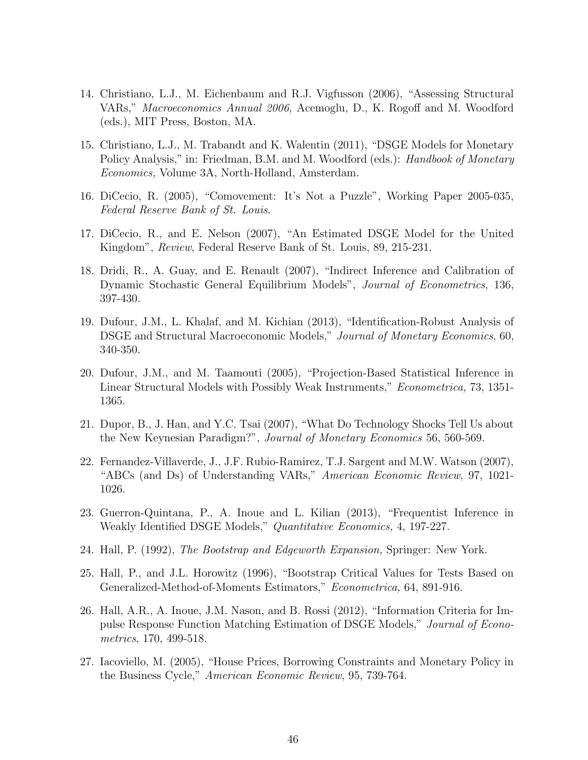- 14. Christiano, L.J., M. Eichenbaum and R.J. Vigfusson (2006), "Assessing Structural VARs," Macroeconomics Annual 2006, Acemoglu, D., K. Rogoff and M. Woodford (eds.), MIT Press, Boston, MA.
- 15. Christiano, L.J., M. Trabandt and K. Walentin (2011), "DSGE Models for Monetary Policy Analysis," in: Friedman, B.M. and M. Woodford (eds.): *Handbook of Monetary* Economics, Volume 3A, North-Holland, Amsterdam.
- 16. DiCecio, R. (2005), "Comovement: It's Not a Puzzle", Working Paper 2005-035, Federal Reserve Bank of St. Louis.
- 17. DiCecio, R., and E. Nelson (2007), "An Estimated DSGE Model for the United Kingdom", Review, Federal Reserve Bank of St. Louis, 89, 215-231.
- 18. Dridi, R., A. Guay, and E. Renault (2007), "Indirect Inference and Calibration of Dynamic Stochastic General Equilibrium Models", Journal of Econometrics, 136, 397-430.
- 19. Dufour, J.M., L. Khalaf, and M. Kichian (2013), "Identification-Robust Analysis of DSGE and Structural Macroeconomic Models," *Journal of Monetary Economics*, 60, 340-350.
- 20. Dufour, J.M., and M. Taamouti (2005), "Projection-Based Statistical Inference in Linear Structural Models with Possibly Weak Instruments," *Econometrica*, 73, 1351-1365.
- 21. Dupor, B., J. Han, and Y.C. Tsai (2007), "What Do Technology Shocks Tell Us about the New Keynesian Paradigm?", Journal of Monetary Economics 56, 560-569.
- 22. Fernandez-Villaverde, J., J.F. Rubio-Ramirez, T.J. Sargent and M.W. Watson (2007), "ABCs (and Ds) of Understanding VARs," American Economic Review, 97, 1021- 1026.
- 23. Guerron-Quintana, P., A. Inoue and L. Kilian (2013), "Frequentist Inference in Weakly Identified DSGE Models," Quantitative Economics, 4, 197-227.
- 24. Hall, P. (1992), The Bootstrap and Edgeworth Expansion, Springer: New York.
- 25. Hall, P., and J.L. Horowitz (1996), "Bootstrap Critical Values for Tests Based on Generalized-Method-of-Moments Estimators," Econometrica, 64, 891-916.
- 26. Hall, A.R., A. Inoue, J.M. Nason, and B. Rossi (2012), "Information Criteria for Impulse Response Function Matching Estimation of DSGE Models," Journal of Econometrics, 170, 499-518.
- 27. Iacoviello, M. (2005), "House Prices, Borrowing Constraints and Monetary Policy in the Business Cycle," American Economic Review, 95, 739-764.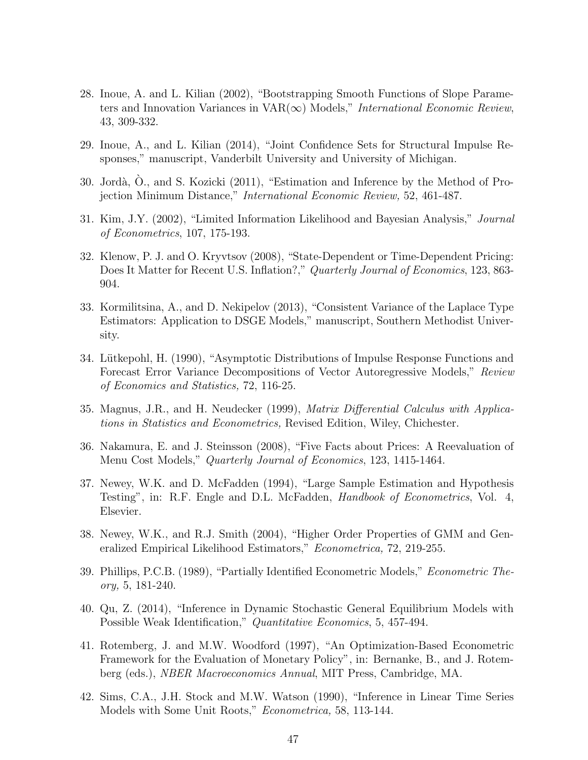- 28. Inoue, A. and L. Kilian (2002), "Bootstrapping Smooth Functions of Slope Parameters and Innovation Variances in  $VAR(\infty)$  Models," International Economic Review, 43, 309-332.
- 29. Inoue, A., and L. Kilian (2014), "Joint Confidence Sets for Structural Impulse Responses," manuscript, Vanderbilt University and University of Michigan.
- 30. Jordà, O., and S. Kozicki (2011), "Estimation and Inference by the Method of Projection Minimum Distance," International Economic Review, 52, 461-487.
- 31. Kim, J.Y. (2002), "Limited Information Likelihood and Bayesian Analysis," Journal of Econometrics, 107, 175-193.
- 32. Klenow, P. J. and O. Kryvtsov (2008), "State-Dependent or Time-Dependent Pricing: Does It Matter for Recent U.S. Inflation?," Quarterly Journal of Economics, 123, 863-904.
- 33. Kormilitsina, A., and D. Nekipelov (2013), "Consistent Variance of the Laplace Type Estimators: Application to DSGE Models," manuscript, Southern Methodist University.
- 34. Lütkepohl, H. (1990), "Asymptotic Distributions of Impulse Response Functions and Forecast Error Variance Decompositions of Vector Autoregressive Models," Review of Economics and Statistics, 72, 116-25.
- 35. Magnus, J.R., and H. Neudecker (1999), Matrix Differential Calculus with Applications in Statistics and Econometrics, Revised Edition, Wiley, Chichester.
- 36. Nakamura, E. and J. Steinsson (2008), "Five Facts about Prices: A Reevaluation of Menu Cost Models," Quarterly Journal of Economics, 123, 1415-1464.
- 37. Newey, W.K. and D. McFadden (1994), "Large Sample Estimation and Hypothesis Testing", in: R.F. Engle and D.L. McFadden, *Handbook of Econometrics*, Vol. 4, Elsevier.
- 38. Newey, W.K., and R.J. Smith (2004), "Higher Order Properties of GMM and Generalized Empirical Likelihood Estimators," Econometrica, 72, 219-255.
- 39. Phillips, P.C.B. (1989), "Partially Identified Econometric Models," Econometric Theory, 5, 181-240.
- 40. Qu, Z. (2014), "Inference in Dynamic Stochastic General Equilibrium Models with Possible Weak Identification," Quantitative Economics, 5, 457-494.
- 41. Rotemberg, J. and M.W. Woodford (1997), "An Optimization-Based Econometric Framework for the Evaluation of Monetary Policy", in: Bernanke, B., and J. Rotemberg (eds.), NBER Macroeconomics Annual, MIT Press, Cambridge, MA.
- 42. Sims, C.A., J.H. Stock and M.W. Watson (1990), "Inference in Linear Time Series Models with Some Unit Roots," *Econometrica*, 58, 113-144.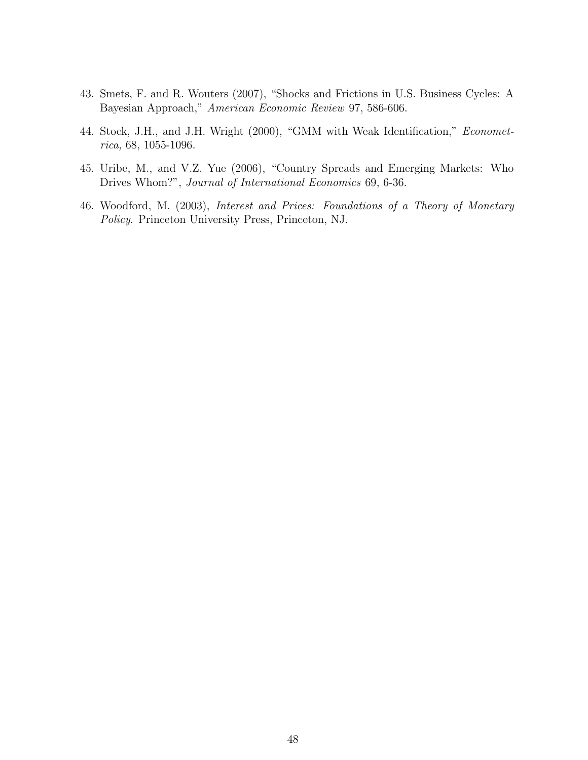- 43. Smets, F. and R. Wouters (2007), "Shocks and Frictions in U.S. Business Cycles: A Bayesian Approach," American Economic Review 97, 586-606.
- 44. Stock, J.H., and J.H. Wright (2000), "GMM with Weak Identification," Econometrica, 68, 1055-1096.
- 45. Uribe, M., and V.Z. Yue (2006), "Country Spreads and Emerging Markets: Who Drives Whom?", Journal of International Economics 69, 6-36.
- 46. Woodford, M. (2003), Interest and Prices: Foundations of a Theory of Monetary Policy. Princeton University Press, Princeton, NJ.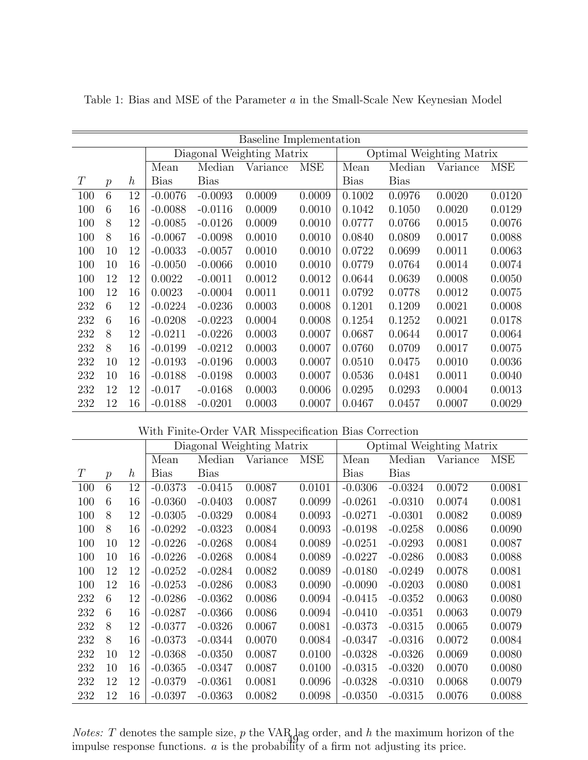|     |                |                  |             |             | <b>Baseline Implementation</b> |            |                          |             |          |            |
|-----|----------------|------------------|-------------|-------------|--------------------------------|------------|--------------------------|-------------|----------|------------|
|     |                |                  |             |             | Diagonal Weighting Matrix      |            | Optimal Weighting Matrix |             |          |            |
|     |                |                  | Mean        | Median      | Variance                       | <b>MSE</b> | Mean                     | Median      | Variance | <b>MSE</b> |
| T   | $\overline{p}$ | $\boldsymbol{h}$ | <b>Bias</b> | <b>Bias</b> |                                |            | <b>Bias</b>              | <b>Bias</b> |          |            |
| 100 | 6              | 12               | $-0.0076$   | $-0.0093$   | 0.0009                         | 0.0009     | 0.1002                   | 0.0976      | 0.0020   | 0.0120     |
| 100 | 6              | 16               | $-0.0088$   | $-0.0116$   | 0.0009                         | 0.0010     | 0.1042                   | 0.1050      | 0.0020   | 0.0129     |
| 100 | 8              | 12               | $-0.0085$   | $-0.0126$   | 0.0009                         | 0.0010     | 0.0777                   | 0.0766      | 0.0015   | 0.0076     |
| 100 | 8              | 16               | $-0.0067$   | $-0.0098$   | 0.0010                         | 0.0010     | 0.0840                   | 0.0809      | 0.0017   | 0.0088     |
| 100 | 10             | 12               | $-0.0033$   | $-0.0057$   | 0.0010                         | 0.0010     | 0.0722                   | 0.0699      | 0.0011   | 0.0063     |
| 100 | 10             | 16               | $-0.0050$   | $-0.0066$   | 0.0010                         | 0.0010     | 0.0779                   | 0.0764      | 0.0014   | 0.0074     |
| 100 | 12             | 12               | 0.0022      | $-0.0011$   | 0.0012                         | 0.0012     | 0.0644                   | 0.0639      | 0.0008   | 0.0050     |
| 100 | 12             | 16               | 0.0023      | $-0.0004$   | 0.0011                         | 0.0011     | 0.0792                   | 0.0778      | 0.0012   | 0.0075     |
| 232 | 6              | 12               | $-0.0224$   | $-0.0236$   | 0.0003                         | 0.0008     | 0.1201                   | 0.1209      | 0.0021   | 0.0008     |
| 232 | 6              | 16               | $-0.0208$   | $-0.0223$   | 0.0004                         | 0.0008     | 0.1254                   | 0.1252      | 0.0021   | 0.0178     |
| 232 | 8              | 12               | $-0.0211$   | $-0.0226$   | 0.0003                         | 0.0007     | 0.0687                   | 0.0644      | 0.0017   | 0.0064     |
| 232 | 8              | 16               | $-0.0199$   | $-0.0212$   | 0.0003                         | 0.0007     | 0.0760                   | 0.0709      | 0.0017   | 0.0075     |
| 232 | 10             | 12               | $-0.0193$   | $-0.0196$   | 0.0003                         | 0.0007     | 0.0510                   | 0.0475      | 0.0010   | 0.0036     |
| 232 | 10             | 16               | $-0.0188$   | $-0.0198$   | 0.0003                         | 0.0007     | 0.0536                   | 0.0481      | 0.0011   | 0.0040     |
| 232 | 12             | 12               | $-0.017$    | $-0.0168$   | 0.0003                         | 0.0006     | 0.0295                   | 0.0293      | 0.0004   | 0.0013     |
| 232 | 12             | 16               | $-0.0188$   | $-0.0201$   | 0.0003                         | 0.0007     | 0.0467                   | 0.0457      | 0.0007   | 0.0029     |

Table 1: Bias and MSE of the Parameter a in the Small-Scale New Keynesian Model

| With Finite-Order VAR Misspecification Bias Correction |  |  |  |  |  |
|--------------------------------------------------------|--|--|--|--|--|
|--------------------------------------------------------|--|--|--|--|--|

|     |                  |                  |             |             | Diagonal Weighting Matrix |        |             | Optimal Weighting Matrix |          |        |
|-----|------------------|------------------|-------------|-------------|---------------------------|--------|-------------|--------------------------|----------|--------|
|     |                  |                  | Mean        | Median      | Variance                  | MSE    | Mean        | Median                   | Variance | MSE    |
| T   | $\boldsymbol{p}$ | $\boldsymbol{h}$ | <b>Bias</b> | <b>Bias</b> |                           |        | <b>Bias</b> | <b>Bias</b>              |          |        |
| 100 | 6                | 12               | $-0.0373$   | $-0.0415$   | 0.0087                    | 0.0101 | $-0.0306$   | $-0.0324$                | 0.0072   | 0.0081 |
| 100 | 6                | 16               | $-0.0360$   | $-0.0403$   | 0.0087                    | 0.0099 | $-0.0261$   | $-0.0310$                | 0.0074   | 0.0081 |
| 100 | 8                | 12               | $-0.0305$   | $-0.0329$   | 0.0084                    | 0.0093 | $-0.0271$   | $-0.0301$                | 0.0082   | 0.0089 |
| 100 | 8                | 16               | $-0.0292$   | $-0.0323$   | 0.0084                    | 0.0093 | $-0.0198$   | $-0.0258$                | 0.0086   | 0.0090 |
| 100 | 10               | 12               | $-0.0226$   | $-0.0268$   | 0.0084                    | 0.0089 | $-0.0251$   | $-0.0293$                | 0.0081   | 0.0087 |
| 100 | 10               | 16               | $-0.0226$   | $-0.0268$   | 0.0084                    | 0.0089 | $-0.0227$   | $-0.0286$                | 0.0083   | 0.0088 |
| 100 | 12               | 12               | $-0.0252$   | $-0.0284$   | 0.0082                    | 0.0089 | $-0.0180$   | $-0.0249$                | 0.0078   | 0.0081 |
| 100 | 12               | 16               | $-0.0253$   | $-0.0286$   | 0.0083                    | 0.0090 | $-0.0090$   | $-0.0203$                | 0.0080   | 0.0081 |
| 232 | 6                | 12               | $-0.0286$   | $-0.0362$   | 0.0086                    | 0.0094 | $-0.0415$   | $-0.0352$                | 0.0063   | 0.0080 |
| 232 | 6                | 16               | $-0.0287$   | $-0.0366$   | 0.0086                    | 0.0094 | $-0.0410$   | $-0.0351$                | 0.0063   | 0.0079 |
| 232 | 8                | 12               | $-0.0377$   | $-0.0326$   | 0.0067                    | 0.0081 | $-0.0373$   | $-0.0315$                | 0.0065   | 0.0079 |
| 232 | 8                | 16               | $-0.0373$   | $-0.0344$   | 0.0070                    | 0.0084 | $-0.0347$   | $-0.0316$                | 0.0072   | 0.0084 |
| 232 | 10               | 12               | $-0.0368$   | $-0.0350$   | 0.0087                    | 0.0100 | $-0.0328$   | $-0.0326$                | 0.0069   | 0.0080 |
| 232 | 10               | 16               | $-0.0365$   | $-0.0347$   | 0.0087                    | 0.0100 | $-0.0315$   | $-0.0320$                | 0.0070   | 0.0080 |
| 232 | 12               | 12               | $-0.0379$   | $-0.0361$   | 0.0081                    | 0.0096 | $-0.0328$   | $-0.0310$                | 0.0068   | 0.0079 |
| 232 | 12               | 16               | $-0.0397$   | $-0.0363$   | 0.0082                    | 0.0098 | $-0.0350$   | $-0.0315$                | 0.0076   | 0.0088 |

*Notes:* T denotes the sample size, p the VAR  $_{\text{A}}$  ag order, and h the maximum horizon of the impulse response functions.  $a$  is the probability of a firm not adjusting its price.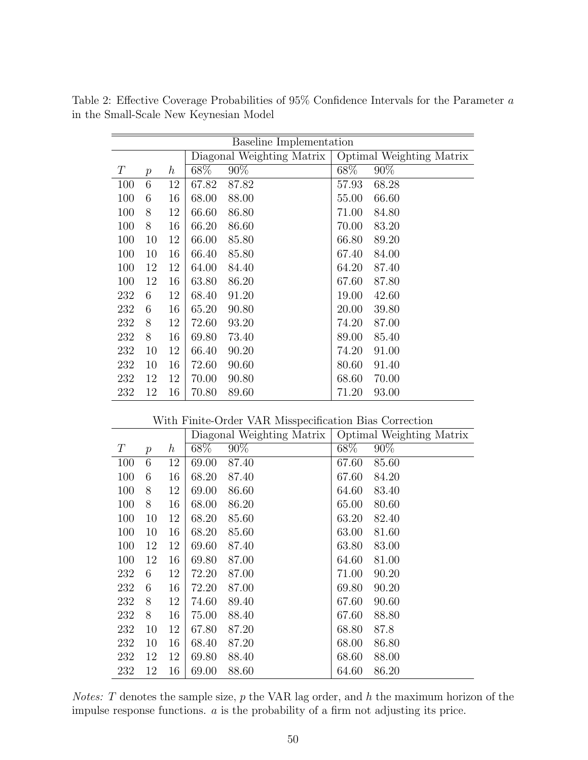|                |                  |       |        |                           | Optimal Weighting Matrix |
|----------------|------------------|-------|--------|---------------------------|--------------------------|
| $\overline{p}$ | $\boldsymbol{h}$ | 68\%  | $90\%$ | $68\%$                    | 90%                      |
| 6              | 12               | 67.82 | 87.82  | 57.93                     | 68.28                    |
| 6              | 16               | 68.00 | 88.00  | 55.00                     | 66.60                    |
| 8              | 12               | 66.60 | 86.80  | 71.00                     | 84.80                    |
| 8              | 16               | 66.20 | 86.60  | 70.00                     | 83.20                    |
| 10             | 12               | 66.00 | 85.80  | 66.80                     | 89.20                    |
| 10             | 16               | 66.40 | 85.80  | 67.40                     | 84.00                    |
| 12             | 12               | 64.00 | 84.40  | 64.20                     | 87.40                    |
| 12             | 16               | 63.80 | 86.20  | 67.60                     | 87.80                    |
| 6              | 12               | 68.40 | 91.20  | 19.00                     | 42.60                    |
| 6              | 16               | 65.20 | 90.80  | 20.00                     | 39.80                    |
| 8              | 12               | 72.60 | 93.20  | 74.20                     | 87.00                    |
| 8              | 16               | 69.80 | 73.40  | 89.00                     | 85.40                    |
| 10             | 12               | 66.40 | 90.20  | 74.20                     | 91.00                    |
| 10             | 16               | 72.60 | 90.60  | 80.60                     | 91.40                    |
| 12             | 12               | 70.00 | 90.80  | 68.60                     | 70.00                    |
| 12             | 16               | 70.80 | 89.60  | 71.20                     | 93.00                    |
|                |                  |       |        | Diagonal Weighting Matrix | Baseline Implementation  |

Table 2: Effective Coverage Probabilities of 95% Confidence Intervals for the Parameter a in the Small-Scale New Keynesian Model

With Finite-Order VAR Misspecification Bias Correction

|     |               |                  |       | Diagonal Weighting Matrix |       | Optimal Weighting Matrix |
|-----|---------------|------------------|-------|---------------------------|-------|--------------------------|
| T   | $\mathcal{p}$ | $\boldsymbol{h}$ | 68\%  | $90\%$                    | 68\%  | $90\%$                   |
| 100 | 6             | 12               | 69.00 | 87.40                     | 67.60 | 85.60                    |
| 100 | 6             | 16               | 68.20 | 87.40                     | 67.60 | 84.20                    |
| 100 | 8             | 12               | 69.00 | 86.60                     | 64.60 | 83.40                    |
| 100 | 8             | 16               | 68.00 | 86.20                     | 65.00 | 80.60                    |
| 100 | 10            | 12               | 68.20 | 85.60                     | 63.20 | 82.40                    |
| 100 | 10            | 16               | 68.20 | 85.60                     | 63.00 | 81.60                    |
| 100 | 12            | 12               | 69.60 | 87.40                     | 63.80 | 83.00                    |
| 100 | 12            | 16               | 69.80 | 87.00                     | 64.60 | 81.00                    |
| 232 | 6             | 12               | 72.20 | 87.00                     | 71.00 | 90.20                    |
| 232 | 6             | 16               | 72.20 | 87.00                     | 69.80 | 90.20                    |
| 232 | 8             | 12               | 74.60 | 89.40                     | 67.60 | 90.60                    |
| 232 | 8             | 16               | 75.00 | 88.40                     | 67.60 | 88.80                    |
| 232 | 10            | 12               | 67.80 | 87.20                     | 68.80 | 87.8                     |
| 232 | 10            | 16               | 68.40 | 87.20                     | 68.00 | 86.80                    |
| 232 | 12            | 12               | 69.80 | 88.40                     | 68.60 | 88.00                    |
| 232 | 12            | 16               | 69.00 | 88.60                     | 64.60 | 86.20                    |

*Notes:* T denotes the sample size,  $p$  the VAR lag order, and  $h$  the maximum horizon of the impulse response functions. a is the probability of a firm not adjusting its price.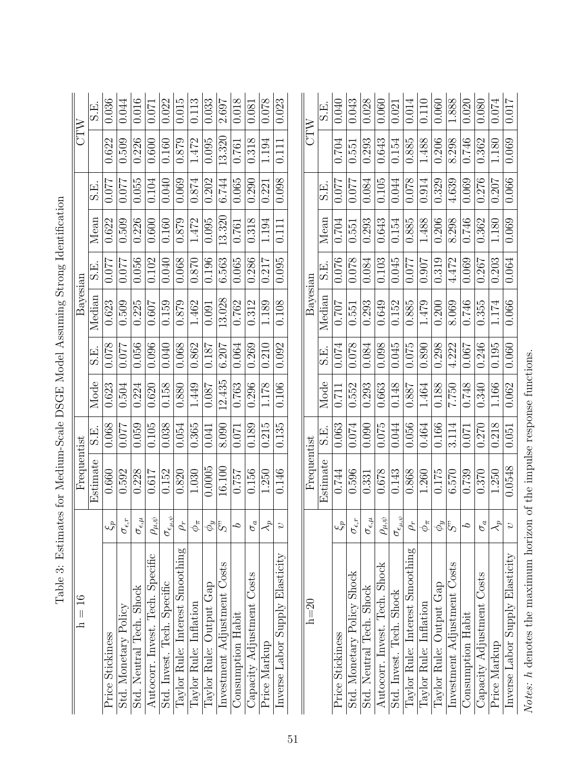| $\frac{6}{1}$<br>$\vert\vert$<br>$\mathbf{I}$ |                                                            | Frequentist                       |       |        |       | Bayesian |        |        |         | CTW             |        |
|-----------------------------------------------|------------------------------------------------------------|-----------------------------------|-------|--------|-------|----------|--------|--------|---------|-----------------|--------|
|                                               |                                                            | Estimate                          | E.S   | Mode   | S.E.  | Median   | E.S    | Mean   | 田<br>S. |                 | S.E.   |
| Price Stickiness                              | $\mathbb{Z}^d$                                             | 0.660                             | 0.068 | 0.623  | 0.078 | 0.623    | 0.077  | 0.622  | 770.0   | 0.622           | 0.036  |
| Std. Monetary Policy                          | $\sigma_{\epsilon,r}$                                      | 0.592                             | 0.077 | 0.504  | 0.077 | 0.509    | 0.077  | 0.509  | 0.077   | 0.509           | 0.044  |
| Std. Neutral Tech. Shock                      | $\sigma_{\epsilon,\mu}$                                    | 0.228                             | 0.059 | 0.224  | 0.056 | 0.225    | 0.056  | 0.226  | 0.055   | 0.226           | 0.016  |
| Tech. Specific<br>Autocorr. Invest.           | $\rho_{\underline{\mu},\psi}$                              | 0.617                             | 0.105 | 0.620  | 0.096 | 0.607    | 0.102  | 0.600  | 0.104   | 0.600           | 0.071  |
| Std. Invest. Tech. Specific                   | $\sigma_{\epsilon_{\mu,\psi}}$                             | 0.152                             | 0.038 | 0.158  | 0.040 | 0.159    | 0.040  | 0.160  | 0.040   | 0.160           | 0.022  |
| Taylor Rule: Interest Smoothing               | $\rho_r$                                                   | 0.820                             | 0.054 | 0.880  | 0.068 | 0.879    | 0.068  | 0.879  | 0.069   | 0.879           | 0.015  |
| Taylor Rule: Inflation                        | $\phi_\pi$                                                 | 1.030                             | 0.365 | 1.449  | 0.862 | 1.462    | 0.870  | 1.472  | 0.874   | 1.472           | 0.113  |
| Output Gap<br>Taylor Rule:                    |                                                            | 0.0005                            | 0.041 | 0.087  | 0.187 | 0.091    | 0.196  | 0.095  | 0.202   | 0.095           | 0.033  |
| Investment Adjustment Costs                   | $\frac{\partial \omega}{\partial \beta}$                   | 16.100                            | 8.090 | 12.435 | 6.207 | 13.028   | 6.563  | 13.320 | 6.744   | $\sqrt{13.320}$ | 2.697  |
| Consumption Habit                             | $\mathcal{L}$                                              | 0.757                             | 0.071 | 0.763  | 0.064 | 0.762    | 0.065  | 0.761  | 0.065   | 0.761           | 0.018  |
| Capacity Adjustment Costs                     | $\sigma_a$                                                 | 0.156                             | 0.189 | 0.296  | 0.269 | 0.312    | 0.286  | 0.318  | 0.290   | 0.318           | 0.081  |
| Price Markup                                  | $\prec^{\!\!\!\!\!\!\!\!\!\!\!\!\!\ {}^{\scriptstyle \mu}$ | 1.250                             | 0.215 | 1.178  | 0.210 | 1.189    | 0.217  | 1.194  | 0.221   | 1.194           | 0.078  |
| Inverse Labor Supply Elasticity               | $\overline{c}$                                             | 0.146                             | 0.135 | 0.106  | 0.092 | 0.108    | 0.095  | 0.111  | 0.098   | 0.111           | 0.023  |
|                                               |                                                            |                                   |       |        |       |          |        |        |         |                 |        |
| $h=20$                                        |                                                            | Frequentist                       |       |        |       | Bayesian |        |        |         | CTW             |        |
|                                               |                                                            | Estimate                          | S.E.  | Mode   | E.S   | Median   | 드<br>오 | Mean   | E.S     |                 | .<br>5 |
| Price Stickiness                              | $\mathfrak{c}^g$                                           | 0.744                             | 0.063 | 0.711  | 0.074 | 0.707    | 0.076  | 0.704  | 770.0   | 0.704           | 0.040  |
| Std. Monetary Policy Shock                    | $\sigma_{\epsilon,r}$                                      | 0.596                             | 0.074 | 0.552  | 0.078 | 0.551    | 0.078  | 0.551  | 0.077   | 0.551           | 0.043  |
| Std. Neutral Tech. Shock                      | $\sigma_{\epsilon,\mu}$                                    | 0.331                             | 0.090 | 0.293  | 0.084 | 0.293    | 0.084  | 0.293  | 0.084   | 0.293           | 0.028  |
| Tech. Shock<br>Autocorr. Invest.              | $\rho_{\mu,\psi}$                                          | 0.678                             | 0.075 | 0.663  | 0.098 | 0.649    | 0.103  | 0.643  | 0.105   | 0.643           | 0.060  |
| Std. Invest. Tech. Shock                      | $\sigma_{\epsilon_{\mu,\psi}}$                             | 0.143                             | 0.044 | 0.148  | 0.045 | 0.152    | 0.045  | 0.154  | 0.044   | 0.154           | 0.021  |
| Taylor Rule: Interest Smoothing               | $\rho_r$                                                   | 0.868                             | 0.056 | 0.887  | 0.075 | 0.885    | 0.077  | 0.885  | 0.078   | 0.885           | 0.014  |
| Inflation<br>Taylor Rule:                     | $\phi_\pi$                                                 | 1.260                             | 0.464 | 1.464  | 0.890 | 1.479    | 0.907  | 1.488  | 0.914   | 1.488           | 0.110  |
| Output Gap<br>Taylor Rule:                    | $ \phi_y $                                                 | 0.175                             | 0.166 | 0.188  | 0.298 | 0.200    | 0.319  | 0.206  | 0.329   | 0.206           | 0.060  |
| Investment Adjustment Costs                   | $ \hat{\ddot{\delta}}\rangle$                              | 6.570                             | 3.114 | 7.750  | 4.222 | 8.069    | 4.472  | 8.298  | 4.639   | 8.298           | 1.888  |
| Consumption Habit                             | $\mathcal{C}$                                              | 0.739                             | 0.071 | 0.748  | 0.067 | 0.746    | 0.069  | 0.746  | 0.069   | 0.746           | 0.020  |
| Capacity Adjustment Costs                     | $\sigma_a$                                                 | 0.370                             | 0.270 | 0.340  | 0.246 | 0.355    | 0.267  | 0.362  | 0.276   | 0.362           | 0.080  |
| Price Markup                                  | $\lambda$ <sup>p</sup>                                     | 1.250                             | 0.218 | 1.166  | 0.195 | 1.174    | 0.203  | 1.180  | 0.207   | 1.180           | 0.074  |
| Inverse Labor Supply Elasticity               | $\overline{c}$                                             | 0.0548                            | 0.051 | 0.062  | 0.060 | 0.066    | 0.064  | 0.069  | 0.066   | 0.069           | 0.017  |
| Notes: h denotes the maximum horizon          |                                                            | of the impulse response functions |       |        |       |          |        |        |         |                 |        |

| I                                                 |
|---------------------------------------------------|
| $\frac{1}{2}$<br>$\sim$ $        -$<br>j<br>İ     |
| 2<br> <br> <br> <br>                              |
| ;<br>;<br>;                                       |
| ・・・【くく】                                           |
| l                                                 |
| .<br>.<br>.<br>j                                  |
| $\overline{a}$<br>)<br>2<br>2<br>2<br>-<br>E<br>l |